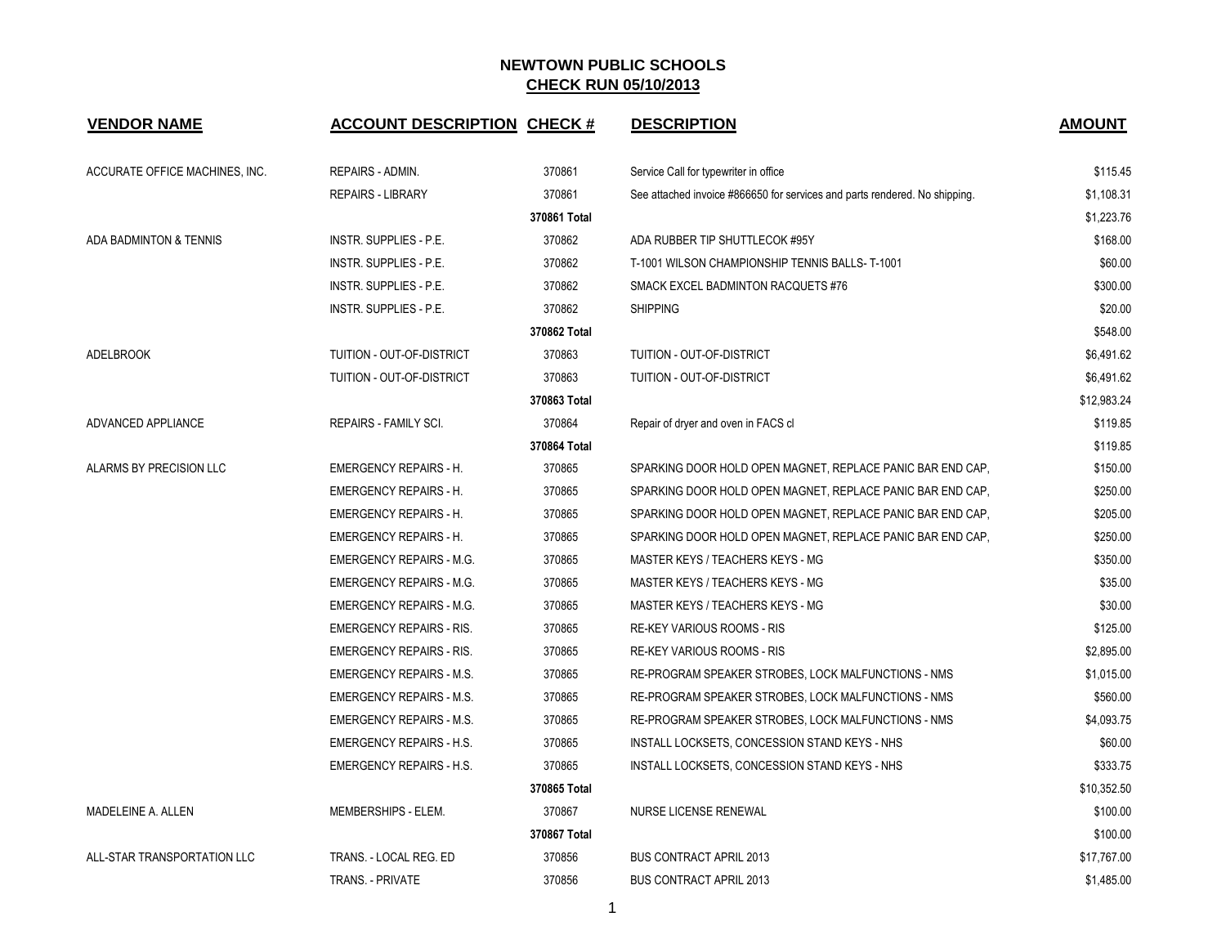| <b>VENDOR NAME</b>             | <b>ACCOUNT DESCRIPTION CHECK #</b> |              | <b>DESCRIPTION</b>                                                         | <b>AMOUNT</b> |
|--------------------------------|------------------------------------|--------------|----------------------------------------------------------------------------|---------------|
| ACCURATE OFFICE MACHINES, INC. | REPAIRS - ADMIN.                   | 370861       | Service Call for typewriter in office                                      | \$115.45      |
|                                | <b>REPAIRS - LIBRARY</b>           | 370861       | See attached invoice #866650 for services and parts rendered. No shipping. | \$1,108.31    |
|                                |                                    | 370861 Total |                                                                            | \$1,223.76    |
| ADA BADMINTON & TENNIS         | <b>INSTR. SUPPLIES - P.E.</b>      | 370862       | ADA RUBBER TIP SHUTTLECOK #95Y                                             | \$168.00      |
|                                | INSTR. SUPPLIES - P.E.             | 370862       | T-1001 WILSON CHAMPIONSHIP TENNIS BALLS-T-1001                             | \$60.00       |
|                                | INSTR. SUPPLIES - P.E.             | 370862       | SMACK EXCEL BADMINTON RACQUETS #76                                         | \$300.00      |
|                                | INSTR. SUPPLIES - P.E.             | 370862       | <b>SHIPPING</b>                                                            | \$20.00       |
|                                |                                    | 370862 Total |                                                                            | \$548.00      |
| <b>ADELBROOK</b>               | TUITION - OUT-OF-DISTRICT          | 370863       | TUITION - OUT-OF-DISTRICT                                                  | \$6,491.62    |
|                                | TUITION - OUT-OF-DISTRICT          | 370863       | TUITION - OUT-OF-DISTRICT                                                  | \$6,491.62    |
|                                |                                    | 370863 Total |                                                                            | \$12,983.24   |
| ADVANCED APPLIANCE             | REPAIRS - FAMILY SCI.              | 370864       | Repair of dryer and oven in FACS cl                                        | \$119.85      |
|                                |                                    | 370864 Total |                                                                            | \$119.85      |
| ALARMS BY PRECISION LLC        | <b>EMERGENCY REPAIRS - H.</b>      | 370865       | SPARKING DOOR HOLD OPEN MAGNET, REPLACE PANIC BAR END CAP,                 | \$150.00      |
|                                | <b>EMERGENCY REPAIRS - H.</b>      | 370865       | SPARKING DOOR HOLD OPEN MAGNET, REPLACE PANIC BAR END CAP,                 | \$250.00      |
|                                | <b>EMERGENCY REPAIRS - H.</b>      | 370865       | SPARKING DOOR HOLD OPEN MAGNET, REPLACE PANIC BAR END CAP,                 | \$205.00      |
|                                | <b>EMERGENCY REPAIRS - H.</b>      | 370865       | SPARKING DOOR HOLD OPEN MAGNET, REPLACE PANIC BAR END CAP,                 | \$250.00      |
|                                | <b>EMERGENCY REPAIRS - M.G.</b>    | 370865       | MASTER KEYS / TEACHERS KEYS - MG                                           | \$350.00      |
|                                | <b>EMERGENCY REPAIRS - M.G.</b>    | 370865       | MASTER KEYS / TEACHERS KEYS - MG                                           | \$35.00       |
|                                | <b>EMERGENCY REPAIRS - M.G.</b>    | 370865       | MASTER KEYS / TEACHERS KEYS - MG                                           | \$30.00       |
|                                | <b>EMERGENCY REPAIRS - RIS.</b>    | 370865       | <b>RE-KEY VARIOUS ROOMS - RIS</b>                                          | \$125.00      |
|                                | <b>EMERGENCY REPAIRS - RIS.</b>    | 370865       | RE-KEY VARIOUS ROOMS - RIS                                                 | \$2,895.00    |
|                                | <b>EMERGENCY REPAIRS - M.S.</b>    | 370865       | RE-PROGRAM SPEAKER STROBES, LOCK MALFUNCTIONS - NMS                        | \$1,015.00    |
|                                | <b>EMERGENCY REPAIRS - M.S.</b>    | 370865       | RE-PROGRAM SPEAKER STROBES, LOCK MALFUNCTIONS - NMS                        | \$560.00      |
|                                | <b>EMERGENCY REPAIRS - M.S.</b>    | 370865       | RE-PROGRAM SPEAKER STROBES, LOCK MALFUNCTIONS - NMS                        | \$4,093.75    |
|                                | <b>EMERGENCY REPAIRS - H.S.</b>    | 370865       | INSTALL LOCKSETS, CONCESSION STAND KEYS - NHS                              | \$60.00       |
|                                | <b>EMERGENCY REPAIRS - H.S.</b>    | 370865       | INSTALL LOCKSETS, CONCESSION STAND KEYS - NHS                              | \$333.75      |
|                                |                                    | 370865 Total |                                                                            | \$10,352.50   |
| MADELEINE A. ALLEN             | MEMBERSHIPS - ELEM.                | 370867       | NURSE LICENSE RENEWAL                                                      | \$100.00      |
|                                |                                    | 370867 Total |                                                                            | \$100.00      |
| ALL-STAR TRANSPORTATION LLC    | TRANS. - LOCAL REG. ED             | 370856       | <b>BUS CONTRACT APRIL 2013</b>                                             | \$17,767.00   |
|                                | <b>TRANS. - PRIVATE</b>            | 370856       | <b>BUS CONTRACT APRIL 2013</b>                                             | \$1,485.00    |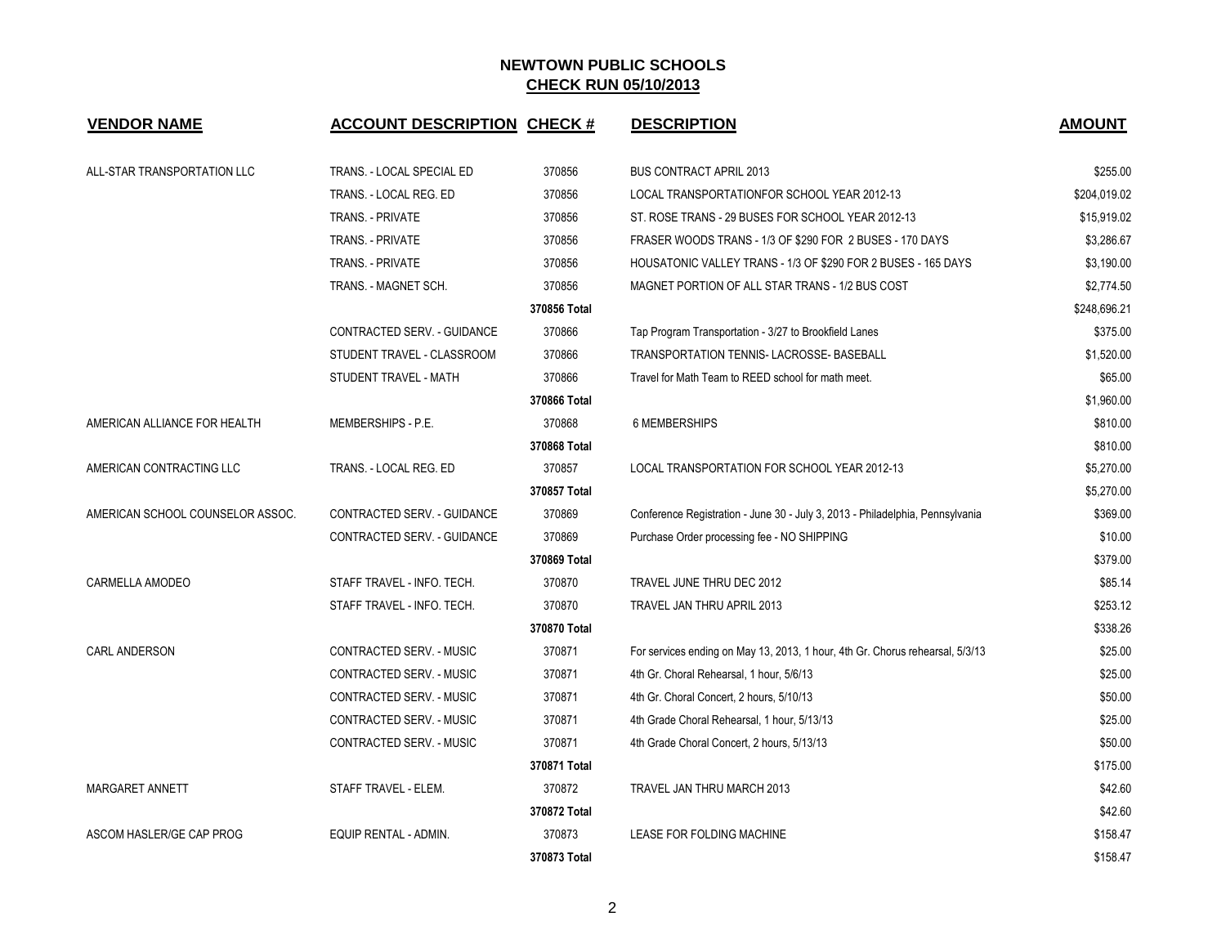| <b>VENDOR NAME</b>               | <b>ACCOUNT DESCRIPTION CHECK #</b> |              | <b>DESCRIPTION</b>                                                            | <b>AMOUNT</b> |
|----------------------------------|------------------------------------|--------------|-------------------------------------------------------------------------------|---------------|
| ALL-STAR TRANSPORTATION LLC      | TRANS. - LOCAL SPECIAL ED          | 370856       | <b>BUS CONTRACT APRIL 2013</b>                                                | \$255.00      |
|                                  | TRANS. - LOCAL REG. ED             | 370856       | LOCAL TRANSPORTATIONFOR SCHOOL YEAR 2012-13                                   | \$204,019.02  |
|                                  | <b>TRANS. - PRIVATE</b>            | 370856       | ST. ROSE TRANS - 29 BUSES FOR SCHOOL YEAR 2012-13                             | \$15,919.02   |
|                                  | <b>TRANS. - PRIVATE</b>            | 370856       | FRASER WOODS TRANS - 1/3 OF \$290 FOR 2 BUSES - 170 DAYS                      | \$3,286.67    |
|                                  | TRANS. - PRIVATE                   | 370856       | HOUSATONIC VALLEY TRANS - 1/3 OF \$290 FOR 2 BUSES - 165 DAYS                 | \$3,190.00    |
|                                  | TRANS. - MAGNET SCH.               | 370856       | MAGNET PORTION OF ALL STAR TRANS - 1/2 BUS COST                               | \$2,774.50    |
|                                  |                                    | 370856 Total |                                                                               | \$248,696.21  |
|                                  | CONTRACTED SERV. - GUIDANCE        | 370866       | Tap Program Transportation - 3/27 to Brookfield Lanes                         | \$375.00      |
|                                  | STUDENT TRAVEL - CLASSROOM         | 370866       | TRANSPORTATION TENNIS-LACROSSE-BASEBALL                                       | \$1,520.00    |
|                                  | STUDENT TRAVEL - MATH              | 370866       | Travel for Math Team to REED school for math meet.                            | \$65.00       |
|                                  |                                    | 370866 Total |                                                                               | \$1,960.00    |
| AMERICAN ALLIANCE FOR HEALTH     | MEMBERSHIPS - P.E.                 | 370868       | 6 MEMBERSHIPS                                                                 | \$810.00      |
|                                  |                                    | 370868 Total |                                                                               | \$810.00      |
| AMERICAN CONTRACTING LLC         | TRANS. - LOCAL REG. ED             | 370857       | LOCAL TRANSPORTATION FOR SCHOOL YEAR 2012-13                                  | \$5,270.00    |
|                                  |                                    | 370857 Total |                                                                               | \$5,270.00    |
| AMERICAN SCHOOL COUNSELOR ASSOC. | CONTRACTED SERV. - GUIDANCE        | 370869       | Conference Registration - June 30 - July 3, 2013 - Philadelphia, Pennsylvania | \$369.00      |
|                                  | CONTRACTED SERV. - GUIDANCE        | 370869       | Purchase Order processing fee - NO SHIPPING                                   | \$10.00       |
|                                  |                                    | 370869 Total |                                                                               | \$379.00      |
| CARMELLA AMODEO                  | STAFF TRAVEL - INFO. TECH.         | 370870       | TRAVEL JUNE THRU DEC 2012                                                     | \$85.14       |
|                                  | STAFF TRAVEL - INFO. TECH.         | 370870       | TRAVEL JAN THRU APRIL 2013                                                    | \$253.12      |
|                                  |                                    | 370870 Total |                                                                               | \$338.26      |
| <b>CARL ANDERSON</b>             | CONTRACTED SERV. - MUSIC           | 370871       | For services ending on May 13, 2013, 1 hour, 4th Gr. Chorus rehearsal, 5/3/13 | \$25.00       |
|                                  | CONTRACTED SERV. - MUSIC           | 370871       | 4th Gr. Choral Rehearsal, 1 hour, 5/6/13                                      | \$25.00       |
|                                  | CONTRACTED SERV. - MUSIC           | 370871       | 4th Gr. Choral Concert, 2 hours, 5/10/13                                      | \$50.00       |
|                                  | CONTRACTED SERV. - MUSIC           | 370871       | 4th Grade Choral Rehearsal, 1 hour, 5/13/13                                   | \$25.00       |
|                                  | CONTRACTED SERV. - MUSIC           | 370871       | 4th Grade Choral Concert, 2 hours, 5/13/13                                    | \$50.00       |
|                                  |                                    | 370871 Total |                                                                               | \$175.00      |
| MARGARET ANNETT                  | STAFF TRAVEL - ELEM.               | 370872       | TRAVEL JAN THRU MARCH 2013                                                    | \$42.60       |
|                                  |                                    | 370872 Total |                                                                               | \$42.60       |
| ASCOM HASLER/GE CAP PROG         | <b>EQUIP RENTAL - ADMIN.</b>       | 370873       | LEASE FOR FOLDING MACHINE                                                     | \$158.47      |
|                                  |                                    | 370873 Total |                                                                               | \$158.47      |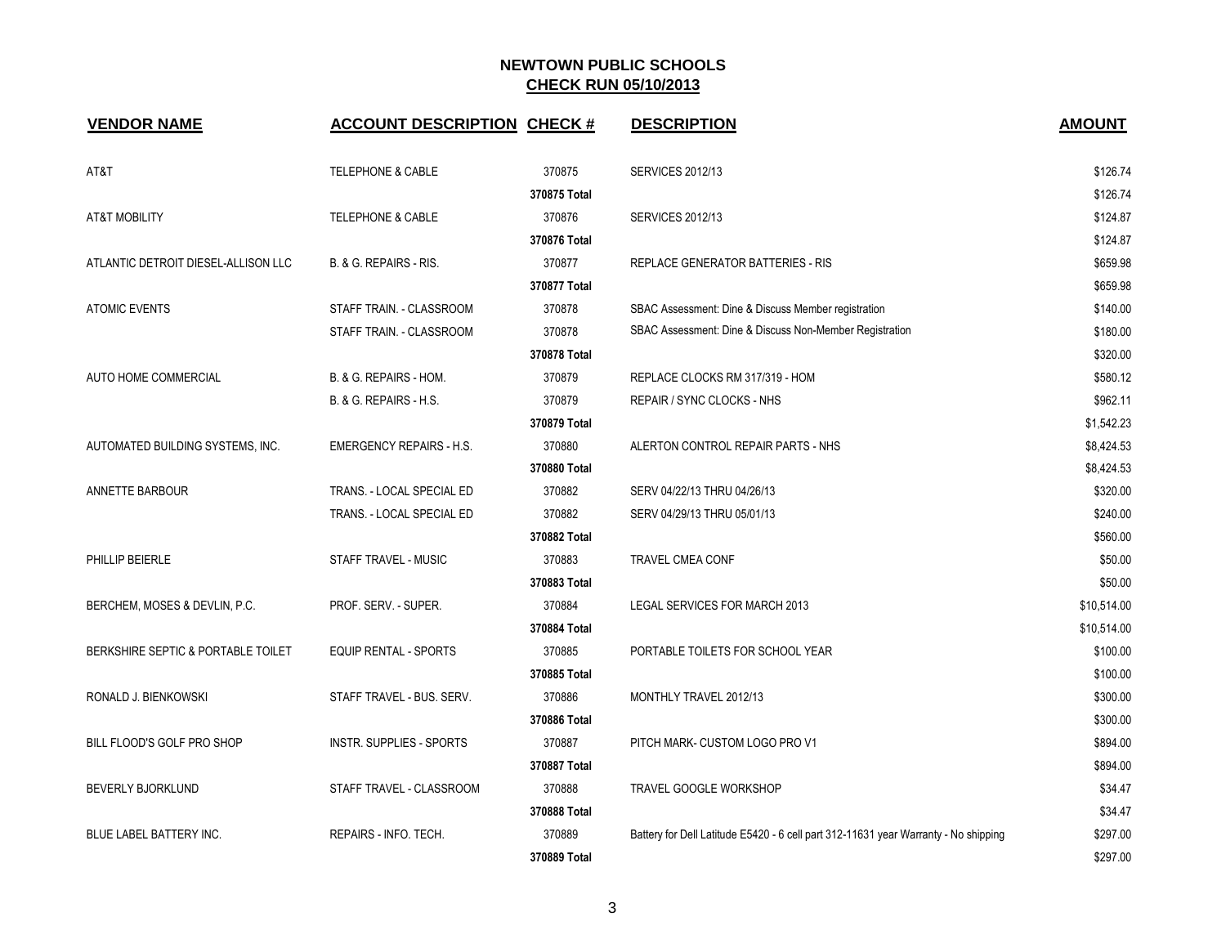| <b>VENDOR NAME</b>                  | <b>ACCOUNT DESCRIPTION CHECK #</b> |              | <b>DESCRIPTION</b>                                                                  | <b>AMOUNT</b> |
|-------------------------------------|------------------------------------|--------------|-------------------------------------------------------------------------------------|---------------|
| AT&T                                | <b>TELEPHONE &amp; CABLE</b>       | 370875       | <b>SERVICES 2012/13</b>                                                             | \$126.74      |
|                                     |                                    | 370875 Total |                                                                                     | \$126.74      |
| <b>AT&amp;T MOBILITY</b>            | <b>TELEPHONE &amp; CABLE</b>       | 370876       | <b>SERVICES 2012/13</b>                                                             | \$124.87      |
|                                     |                                    | 370876 Total |                                                                                     | \$124.87      |
| ATLANTIC DETROIT DIESEL-ALLISON LLC | B. & G. REPAIRS - RIS.             | 370877       | REPLACE GENERATOR BATTERIES - RIS                                                   | \$659.98      |
|                                     |                                    | 370877 Total |                                                                                     | \$659.98      |
| <b>ATOMIC EVENTS</b>                | STAFF TRAIN. - CLASSROOM           | 370878       | SBAC Assessment: Dine & Discuss Member registration                                 | \$140.00      |
|                                     | STAFF TRAIN. - CLASSROOM           | 370878       | SBAC Assessment: Dine & Discuss Non-Member Registration                             | \$180.00      |
|                                     |                                    | 370878 Total |                                                                                     | \$320.00      |
| AUTO HOME COMMERCIAL                | B. & G. REPAIRS - HOM.             | 370879       | REPLACE CLOCKS RM 317/319 - HOM                                                     | \$580.12      |
|                                     | B. & G. REPAIRS - H.S.             | 370879       | REPAIR / SYNC CLOCKS - NHS                                                          | \$962.11      |
|                                     |                                    | 370879 Total |                                                                                     | \$1,542.23    |
| AUTOMATED BUILDING SYSTEMS, INC.    | <b>EMERGENCY REPAIRS - H.S.</b>    | 370880       | ALERTON CONTROL REPAIR PARTS - NHS                                                  | \$8,424.53    |
|                                     |                                    | 370880 Total |                                                                                     | \$8,424.53    |
| <b>ANNETTE BARBOUR</b>              | TRANS. - LOCAL SPECIAL ED          | 370882       | SERV 04/22/13 THRU 04/26/13                                                         | \$320.00      |
|                                     | TRANS. - LOCAL SPECIAL ED          | 370882       | SERV 04/29/13 THRU 05/01/13                                                         | \$240.00      |
|                                     |                                    | 370882 Total |                                                                                     | \$560.00      |
| PHILLIP BEIERLE                     | STAFF TRAVEL - MUSIC               | 370883       | <b>TRAVEL CMEA CONF</b>                                                             | \$50.00       |
|                                     |                                    | 370883 Total |                                                                                     | \$50.00       |
| BERCHEM, MOSES & DEVLIN, P.C.       | PROF. SERV. - SUPER.               | 370884       | LEGAL SERVICES FOR MARCH 2013                                                       | \$10,514.00   |
|                                     |                                    | 370884 Total |                                                                                     | \$10,514.00   |
| BERKSHIRE SEPTIC & PORTABLE TOILET  | <b>EQUIP RENTAL - SPORTS</b>       | 370885       | PORTABLE TOILETS FOR SCHOOL YEAR                                                    | \$100.00      |
|                                     |                                    | 370885 Total |                                                                                     | \$100.00      |
| RONALD J. BIENKOWSKI                | STAFF TRAVEL - BUS. SERV.          | 370886       | MONTHLY TRAVEL 2012/13                                                              | \$300.00      |
|                                     |                                    | 370886 Total |                                                                                     | \$300.00      |
| BILL FLOOD'S GOLF PRO SHOP          | <b>INSTR. SUPPLIES - SPORTS</b>    | 370887       | PITCH MARK- CUSTOM LOGO PRO V1                                                      | \$894.00      |
|                                     |                                    | 370887 Total |                                                                                     | \$894.00      |
| <b>BEVERLY BJORKLUND</b>            | STAFF TRAVEL - CLASSROOM           | 370888       | TRAVEL GOOGLE WORKSHOP                                                              | \$34.47       |
|                                     |                                    | 370888 Total |                                                                                     | \$34.47       |
| BLUE LABEL BATTERY INC.             | REPAIRS - INFO. TECH.              | 370889       | Battery for Dell Latitude E5420 - 6 cell part 312-11631 year Warranty - No shipping | \$297.00      |
|                                     |                                    | 370889 Total |                                                                                     | \$297.00      |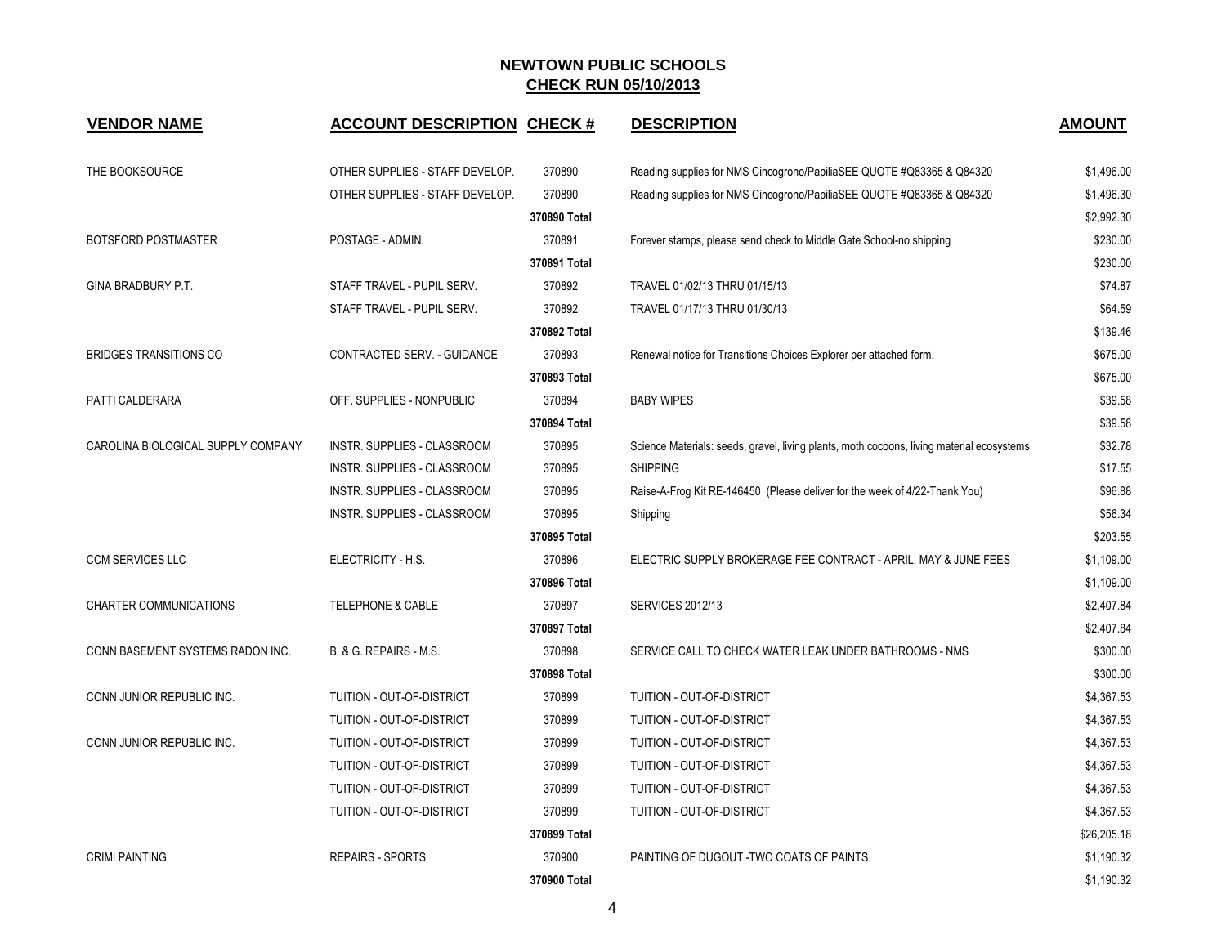| <b>VENDOR NAME</b>                 | <b>ACCOUNT DESCRIPTION CHECK #</b> |              | <b>DESCRIPTION</b>                                                                        | <b>AMOUNT</b> |
|------------------------------------|------------------------------------|--------------|-------------------------------------------------------------------------------------------|---------------|
| THE BOOKSOURCE                     | OTHER SUPPLIES - STAFF DEVELOP.    | 370890       | Reading supplies for NMS Cincogrono/PapiliaSEE QUOTE #Q83365 & Q84320                     | \$1,496.00    |
|                                    | OTHER SUPPLIES - STAFF DEVELOP.    | 370890       | Reading supplies for NMS Cincogrono/PapiliaSEE QUOTE #Q83365 & Q84320                     | \$1,496.30    |
|                                    |                                    | 370890 Total |                                                                                           | \$2,992.30    |
| <b>BOTSFORD POSTMASTER</b>         | POSTAGE - ADMIN.                   | 370891       | Forever stamps, please send check to Middle Gate School-no shipping                       | \$230.00      |
|                                    |                                    | 370891 Total |                                                                                           | \$230.00      |
| GINA BRADBURY P.T.                 | STAFF TRAVEL - PUPIL SERV.         | 370892       | TRAVEL 01/02/13 THRU 01/15/13                                                             | \$74.87       |
|                                    | STAFF TRAVEL - PUPIL SERV.         | 370892       | TRAVEL 01/17/13 THRU 01/30/13                                                             | \$64.59       |
|                                    |                                    | 370892 Total |                                                                                           | \$139.46      |
| <b>BRIDGES TRANSITIONS CO</b>      | CONTRACTED SERV. - GUIDANCE        | 370893       | Renewal notice for Transitions Choices Explorer per attached form.                        | \$675.00      |
|                                    |                                    | 370893 Total |                                                                                           | \$675.00      |
| PATTI CALDERARA                    | OFF. SUPPLIES - NONPUBLIC          | 370894       | <b>BABY WIPES</b>                                                                         | \$39.58       |
|                                    |                                    | 370894 Total |                                                                                           | \$39.58       |
| CAROLINA BIOLOGICAL SUPPLY COMPANY | INSTR. SUPPLIES - CLASSROOM        | 370895       | Science Materials: seeds, gravel, living plants, moth cocoons, living material ecosystems | \$32.78       |
|                                    | INSTR. SUPPLIES - CLASSROOM        | 370895       | <b>SHIPPING</b>                                                                           | \$17.55       |
|                                    | INSTR. SUPPLIES - CLASSROOM        | 370895       | Raise-A-Frog Kit RE-146450 (Please deliver for the week of 4/22-Thank You)                | \$96.88       |
|                                    | INSTR. SUPPLIES - CLASSROOM        | 370895       | Shipping                                                                                  | \$56.34       |
|                                    |                                    | 370895 Total |                                                                                           | \$203.55      |
| <b>CCM SERVICES LLC</b>            | ELECTRICITY - H.S.                 | 370896       | ELECTRIC SUPPLY BROKERAGE FEE CONTRACT - APRIL, MAY & JUNE FEES                           | \$1,109.00    |
|                                    |                                    | 370896 Total |                                                                                           | \$1,109.00    |
| <b>CHARTER COMMUNICATIONS</b>      | <b>TELEPHONE &amp; CABLE</b>       | 370897       | <b>SERVICES 2012/13</b>                                                                   | \$2,407.84    |
|                                    |                                    | 370897 Total |                                                                                           | \$2,407.84    |
| CONN BASEMENT SYSTEMS RADON INC.   | B. & G. REPAIRS - M.S.             | 370898       | SERVICE CALL TO CHECK WATER LEAK UNDER BATHROOMS - NMS                                    | \$300.00      |
|                                    |                                    | 370898 Total |                                                                                           | \$300.00      |
| CONN JUNIOR REPUBLIC INC.          | TUITION - OUT-OF-DISTRICT          | 370899       | TUITION - OUT-OF-DISTRICT                                                                 | \$4,367.53    |
|                                    | TUITION - OUT-OF-DISTRICT          | 370899       | TUITION - OUT-OF-DISTRICT                                                                 | \$4,367.53    |
| CONN JUNIOR REPUBLIC INC.          | TUITION - OUT-OF-DISTRICT          | 370899       | TUITION - OUT-OF-DISTRICT                                                                 | \$4,367.53    |
|                                    | TUITION - OUT-OF-DISTRICT          | 370899       | TUITION - OUT-OF-DISTRICT                                                                 | \$4,367.53    |
|                                    | TUITION - OUT-OF-DISTRICT          | 370899       | TUITION - OUT-OF-DISTRICT                                                                 | \$4,367.53    |
|                                    | TUITION - OUT-OF-DISTRICT          | 370899       | TUITION - OUT-OF-DISTRICT                                                                 | \$4,367.53    |
|                                    |                                    | 370899 Total |                                                                                           | \$26,205.18   |
| <b>CRIMI PAINTING</b>              | <b>REPAIRS - SPORTS</b>            | 370900       | PAINTING OF DUGOUT - TWO COATS OF PAINTS                                                  | \$1,190.32    |
|                                    |                                    | 370900 Total |                                                                                           | \$1,190.32    |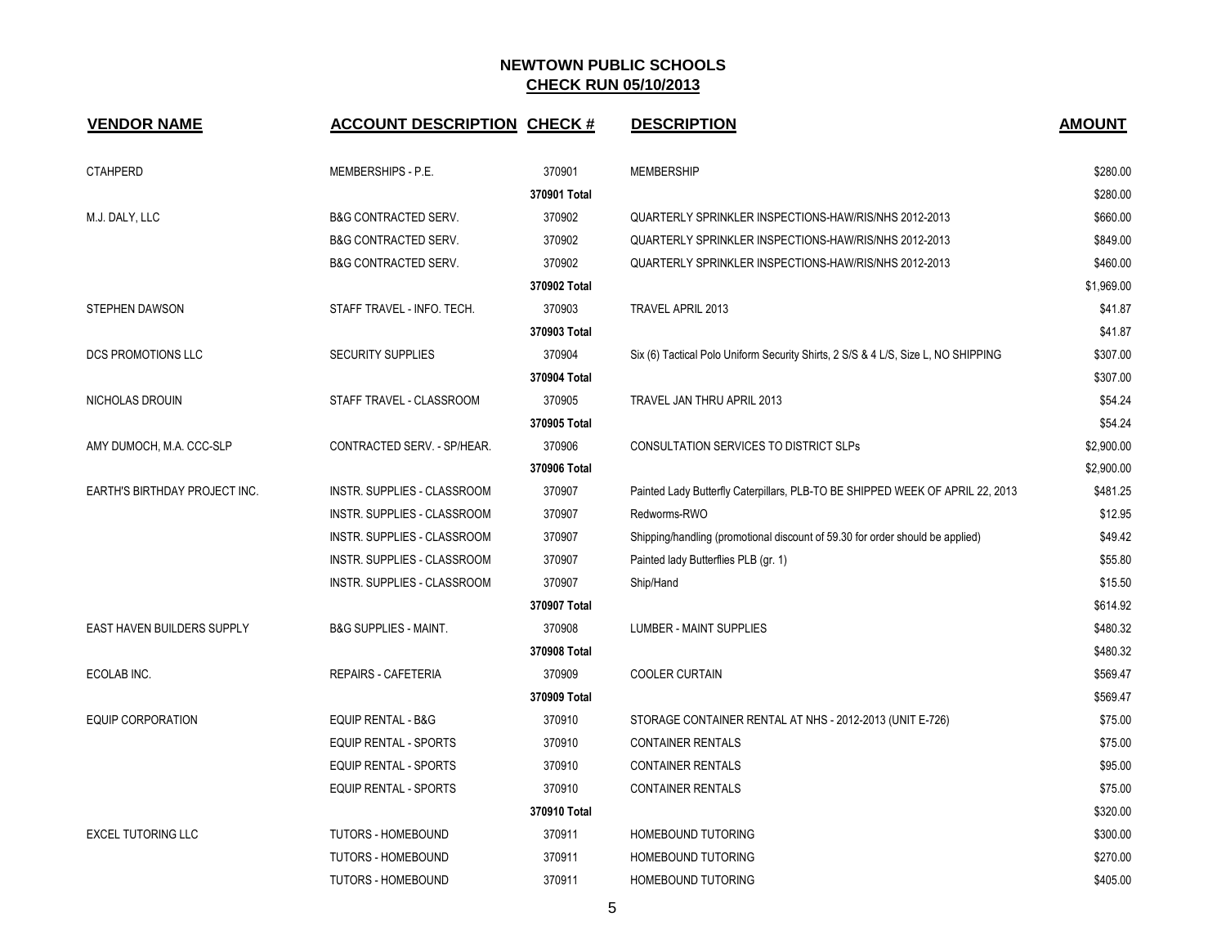| <b>VENDOR NAME</b>            | <b>ACCOUNT DESCRIPTION CHECK #</b> |              | <b>DESCRIPTION</b>                                                                | <b>AMOUNT</b> |
|-------------------------------|------------------------------------|--------------|-----------------------------------------------------------------------------------|---------------|
| <b>CTAHPERD</b>               | MEMBERSHIPS - P.E.                 | 370901       | <b>MEMBERSHIP</b>                                                                 | \$280.00      |
|                               |                                    | 370901 Total |                                                                                   | \$280.00      |
| M.J. DALY, LLC                | <b>B&amp;G CONTRACTED SERV.</b>    | 370902       | QUARTERLY SPRINKLER INSPECTIONS-HAW/RIS/NHS 2012-2013                             | \$660.00      |
|                               | <b>B&amp;G CONTRACTED SERV.</b>    | 370902       | QUARTERLY SPRINKLER INSPECTIONS-HAW/RIS/NHS 2012-2013                             | \$849.00      |
|                               | <b>B&amp;G CONTRACTED SERV.</b>    | 370902       | QUARTERLY SPRINKLER INSPECTIONS-HAW/RIS/NHS 2012-2013                             | \$460.00      |
|                               |                                    | 370902 Total |                                                                                   | \$1,969.00    |
| <b>STEPHEN DAWSON</b>         | STAFF TRAVEL - INFO. TECH.         | 370903       | TRAVEL APRIL 2013                                                                 | \$41.87       |
|                               |                                    | 370903 Total |                                                                                   | \$41.87       |
| DCS PROMOTIONS LLC            | <b>SECURITY SUPPLIES</b>           | 370904       | Six (6) Tactical Polo Uniform Security Shirts, 2 S/S & 4 L/S, Size L, NO SHIPPING | \$307.00      |
|                               |                                    | 370904 Total |                                                                                   | \$307.00      |
| NICHOLAS DROUIN               | STAFF TRAVEL - CLASSROOM           | 370905       | TRAVEL JAN THRU APRIL 2013                                                        | \$54.24       |
|                               |                                    | 370905 Total |                                                                                   | \$54.24       |
| AMY DUMOCH, M.A. CCC-SLP      | CONTRACTED SERV. - SP/HEAR.        | 370906       | <b>CONSULTATION SERVICES TO DISTRICT SLPS</b>                                     | \$2,900.00    |
|                               |                                    | 370906 Total |                                                                                   | \$2,900.00    |
| EARTH'S BIRTHDAY PROJECT INC. | <b>INSTR. SUPPLIES - CLASSROOM</b> | 370907       | Painted Lady Butterfly Caterpillars, PLB-TO BE SHIPPED WEEK OF APRIL 22, 2013     | \$481.25      |
|                               | INSTR. SUPPLIES - CLASSROOM        | 370907       | Redworms-RWO                                                                      | \$12.95       |
|                               | INSTR. SUPPLIES - CLASSROOM        | 370907       | Shipping/handling (promotional discount of 59.30 for order should be applied)     | \$49.42       |
|                               | INSTR. SUPPLIES - CLASSROOM        | 370907       | Painted lady Butterflies PLB (gr. 1)                                              | \$55.80       |
|                               | <b>INSTR. SUPPLIES - CLASSROOM</b> | 370907       | Ship/Hand                                                                         | \$15.50       |
|                               |                                    | 370907 Total |                                                                                   | \$614.92      |
| EAST HAVEN BUILDERS SUPPLY    | <b>B&amp;G SUPPLIES - MAINT.</b>   | 370908       | LUMBER - MAINT SUPPLIES                                                           | \$480.32      |
|                               |                                    | 370908 Total |                                                                                   | \$480.32      |
| ECOLAB INC.                   | <b>REPAIRS - CAFETERIA</b>         | 370909       | <b>COOLER CURTAIN</b>                                                             | \$569.47      |
|                               |                                    | 370909 Total |                                                                                   | \$569.47      |
| <b>EQUIP CORPORATION</b>      | <b>EQUIP RENTAL - B&amp;G</b>      | 370910       | STORAGE CONTAINER RENTAL AT NHS - 2012-2013 (UNIT E-726)                          | \$75.00       |
|                               | <b>EQUIP RENTAL - SPORTS</b>       | 370910       | <b>CONTAINER RENTALS</b>                                                          | \$75.00       |
|                               | <b>EQUIP RENTAL - SPORTS</b>       | 370910       | <b>CONTAINER RENTALS</b>                                                          | \$95.00       |
|                               | EQUIP RENTAL - SPORTS              | 370910       | <b>CONTAINER RENTALS</b>                                                          | \$75.00       |
|                               |                                    | 370910 Total |                                                                                   | \$320.00      |
| <b>EXCEL TUTORING LLC</b>     | TUTORS - HOMEBOUND                 | 370911       | HOMEBOUND TUTORING                                                                | \$300.00      |
|                               | <b>TUTORS - HOMEBOUND</b>          | 370911       | HOMEBOUND TUTORING                                                                | \$270.00      |
|                               | <b>TUTORS - HOMEBOUND</b>          | 370911       | HOMEBOUND TUTORING                                                                | \$405.00      |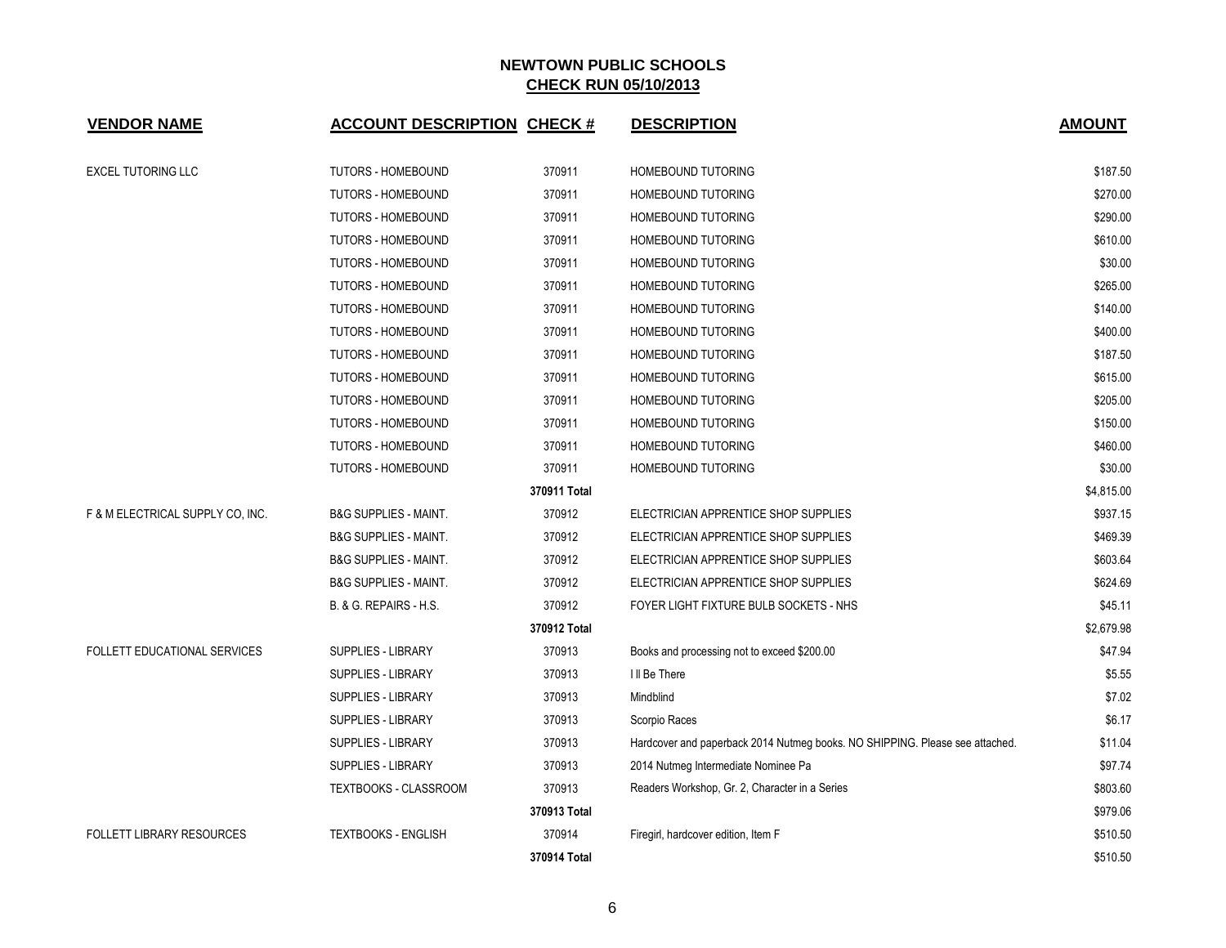| <b>VENDOR NAME</b>               | <b>ACCOUNT DESCRIPTION CHECK #</b> |              | <b>DESCRIPTION</b>                                                           | <b>AMOUNT</b> |
|----------------------------------|------------------------------------|--------------|------------------------------------------------------------------------------|---------------|
| <b>EXCEL TUTORING LLC</b>        | <b>TUTORS - HOMEBOUND</b>          | 370911       | <b>HOMEBOUND TUTORING</b>                                                    | \$187.50      |
|                                  | <b>TUTORS - HOMEBOUND</b>          | 370911       | <b>HOMEBOUND TUTORING</b>                                                    | \$270.00      |
|                                  | <b>TUTORS - HOMEBOUND</b>          | 370911       | HOMEBOUND TUTORING                                                           | \$290.00      |
|                                  | TUTORS - HOMEBOUND                 | 370911       | HOMEBOUND TUTORING                                                           | \$610.00      |
|                                  | TUTORS - HOMEBOUND                 | 370911       | <b>HOMEBOUND TUTORING</b>                                                    | \$30.00       |
|                                  | TUTORS - HOMEBOUND                 | 370911       | <b>HOMEBOUND TUTORING</b>                                                    | \$265.00      |
|                                  | TUTORS - HOMEBOUND                 | 370911       | HOMEBOUND TUTORING                                                           | \$140.00      |
|                                  | TUTORS - HOMEBOUND                 | 370911       | HOMEBOUND TUTORING                                                           | \$400.00      |
|                                  | TUTORS - HOMEBOUND                 | 370911       | <b>HOMEBOUND TUTORING</b>                                                    | \$187.50      |
|                                  | TUTORS - HOMEBOUND                 | 370911       | HOMEBOUND TUTORING                                                           | \$615.00      |
|                                  | TUTORS - HOMEBOUND                 | 370911       | <b>HOMEBOUND TUTORING</b>                                                    | \$205.00      |
|                                  | TUTORS - HOMEBOUND                 | 370911       | <b>HOMEBOUND TUTORING</b>                                                    | \$150.00      |
|                                  | TUTORS - HOMEBOUND                 | 370911       | <b>HOMEBOUND TUTORING</b>                                                    | \$460.00      |
|                                  | TUTORS - HOMEBOUND                 | 370911       | HOMEBOUND TUTORING                                                           | \$30.00       |
|                                  |                                    | 370911 Total |                                                                              | \$4,815.00    |
| F & M ELECTRICAL SUPPLY CO, INC. | <b>B&amp;G SUPPLIES - MAINT.</b>   | 370912       | ELECTRICIAN APPRENTICE SHOP SUPPLIES                                         | \$937.15      |
|                                  | <b>B&amp;G SUPPLIES - MAINT.</b>   | 370912       | ELECTRICIAN APPRENTICE SHOP SUPPLIES                                         | \$469.39      |
|                                  | <b>B&amp;G SUPPLIES - MAINT.</b>   | 370912       | ELECTRICIAN APPRENTICE SHOP SUPPLIES                                         | \$603.64      |
|                                  | <b>B&amp;G SUPPLIES - MAINT.</b>   | 370912       | ELECTRICIAN APPRENTICE SHOP SUPPLIES                                         | \$624.69      |
|                                  | B. & G. REPAIRS - H.S.             | 370912       | FOYER LIGHT FIXTURE BULB SOCKETS - NHS                                       | \$45.11       |
|                                  |                                    | 370912 Total |                                                                              | \$2,679.98    |
| FOLLETT EDUCATIONAL SERVICES     | SUPPLIES - LIBRARY                 | 370913       | Books and processing not to exceed \$200.00                                  | \$47.94       |
|                                  | <b>SUPPLIES - LIBRARY</b>          | 370913       | I II Be There                                                                | \$5.55        |
|                                  | SUPPLIES - LIBRARY                 | 370913       | Mindblind                                                                    | \$7.02        |
|                                  | SUPPLIES - LIBRARY                 | 370913       | Scorpio Races                                                                | \$6.17        |
|                                  | SUPPLIES - LIBRARY                 | 370913       | Hardcover and paperback 2014 Nutmeg books. NO SHIPPING. Please see attached. | \$11.04       |
|                                  | SUPPLIES - LIBRARY                 | 370913       | 2014 Nutmeg Intermediate Nominee Pa                                          | \$97.74       |
|                                  | TEXTBOOKS - CLASSROOM              | 370913       | Readers Workshop, Gr. 2, Character in a Series                               | \$803.60      |
|                                  |                                    | 370913 Total |                                                                              | \$979.06      |
| <b>FOLLETT LIBRARY RESOURCES</b> | <b>TEXTBOOKS - ENGLISH</b>         | 370914       | Firegirl, hardcover edition, Item F                                          | \$510.50      |
|                                  |                                    | 370914 Total |                                                                              | \$510.50      |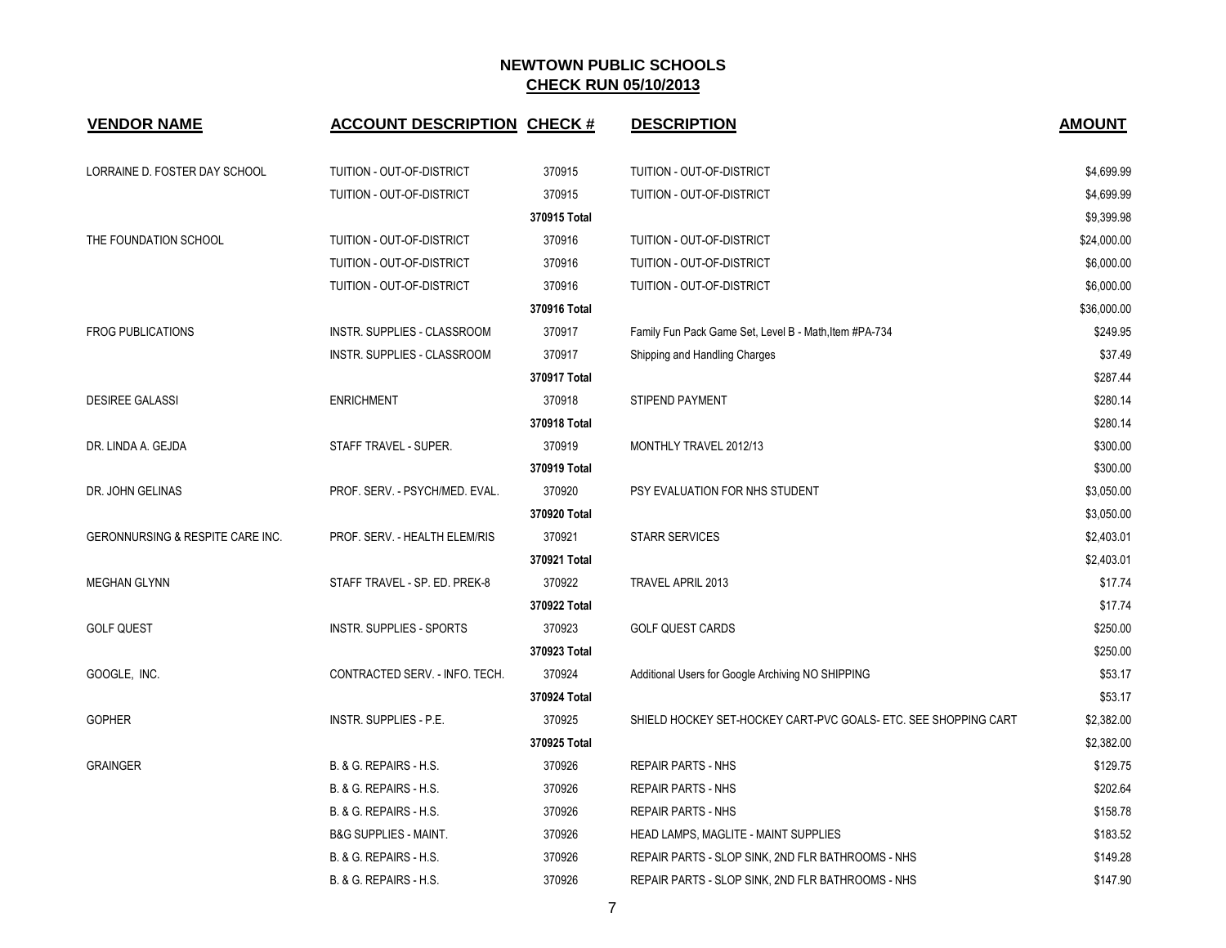| <b>VENDOR NAME</b>               | <b>ACCOUNT DESCRIPTION CHECK #</b> |              | <b>DESCRIPTION</b>                                              | <b>AMOUNT</b> |
|----------------------------------|------------------------------------|--------------|-----------------------------------------------------------------|---------------|
| LORRAINE D. FOSTER DAY SCHOOL    | TUITION - OUT-OF-DISTRICT          | 370915       | TUITION - OUT-OF-DISTRICT                                       | \$4,699.99    |
|                                  | TUITION - OUT-OF-DISTRICT          | 370915       | TUITION - OUT-OF-DISTRICT                                       | \$4,699.99    |
|                                  |                                    | 370915 Total |                                                                 | \$9,399.98    |
| THE FOUNDATION SCHOOL            | TUITION - OUT-OF-DISTRICT          | 370916       | TUITION - OUT-OF-DISTRICT                                       | \$24,000.00   |
|                                  | TUITION - OUT-OF-DISTRICT          | 370916       | TUITION - OUT-OF-DISTRICT                                       | \$6,000.00    |
|                                  | TUITION - OUT-OF-DISTRICT          | 370916       | TUITION - OUT-OF-DISTRICT                                       | \$6,000.00    |
|                                  |                                    | 370916 Total |                                                                 | \$36,000.00   |
| <b>FROG PUBLICATIONS</b>         | INSTR. SUPPLIES - CLASSROOM        | 370917       | Family Fun Pack Game Set, Level B - Math, Item #PA-734          | \$249.95      |
|                                  | INSTR. SUPPLIES - CLASSROOM        | 370917       | Shipping and Handling Charges                                   | \$37.49       |
|                                  |                                    | 370917 Total |                                                                 | \$287.44      |
| <b>DESIREE GALASSI</b>           | <b>ENRICHMENT</b>                  | 370918       | STIPEND PAYMENT                                                 | \$280.14      |
|                                  |                                    | 370918 Total |                                                                 | \$280.14      |
| DR. LINDA A. GEJDA               | STAFF TRAVEL - SUPER.              | 370919       | MONTHLY TRAVEL 2012/13                                          | \$300.00      |
|                                  |                                    | 370919 Total |                                                                 | \$300.00      |
| DR. JOHN GELINAS                 | PROF. SERV. - PSYCH/MED. EVAL.     | 370920       | PSY EVALUATION FOR NHS STUDENT                                  | \$3,050.00    |
|                                  |                                    | 370920 Total |                                                                 | \$3,050.00    |
| GERONNURSING & RESPITE CARE INC. | PROF. SERV. - HEALTH ELEM/RIS      | 370921       | <b>STARR SERVICES</b>                                           | \$2,403.01    |
|                                  |                                    | 370921 Total |                                                                 | \$2,403.01    |
| <b>MEGHAN GLYNN</b>              | STAFF TRAVEL - SP. ED. PREK-8      | 370922       | TRAVEL APRIL 2013                                               | \$17.74       |
|                                  |                                    | 370922 Total |                                                                 | \$17.74       |
| <b>GOLF QUEST</b>                | <b>INSTR. SUPPLIES - SPORTS</b>    | 370923       | <b>GOLF QUEST CARDS</b>                                         | \$250.00      |
|                                  |                                    | 370923 Total |                                                                 | \$250.00      |
| GOOGLE, INC.                     | CONTRACTED SERV. - INFO. TECH.     | 370924       | Additional Users for Google Archiving NO SHIPPING               | \$53.17       |
|                                  |                                    | 370924 Total |                                                                 | \$53.17       |
| <b>GOPHER</b>                    | INSTR. SUPPLIES - P.E.             | 370925       | SHIELD HOCKEY SET-HOCKEY CART-PVC GOALS- ETC. SEE SHOPPING CART | \$2,382.00    |
|                                  |                                    | 370925 Total |                                                                 | \$2,382.00    |
| <b>GRAINGER</b>                  | B. & G. REPAIRS - H.S.             | 370926       | <b>REPAIR PARTS - NHS</b>                                       | \$129.75      |
|                                  | B. & G. REPAIRS - H.S.             | 370926       | <b>REPAIR PARTS - NHS</b>                                       | \$202.64      |
|                                  | B. & G. REPAIRS - H.S.             | 370926       | <b>REPAIR PARTS - NHS</b>                                       | \$158.78      |
|                                  | <b>B&amp;G SUPPLIES - MAINT.</b>   | 370926       | <b>HEAD LAMPS, MAGLITE - MAINT SUPPLIES</b>                     | \$183.52      |
|                                  | B. & G. REPAIRS - H.S.             | 370926       | REPAIR PARTS - SLOP SINK, 2ND FLR BATHROOMS - NHS               | \$149.28      |
|                                  | B. & G. REPAIRS - H.S.             | 370926       | REPAIR PARTS - SLOP SINK, 2ND FLR BATHROOMS - NHS               | \$147.90      |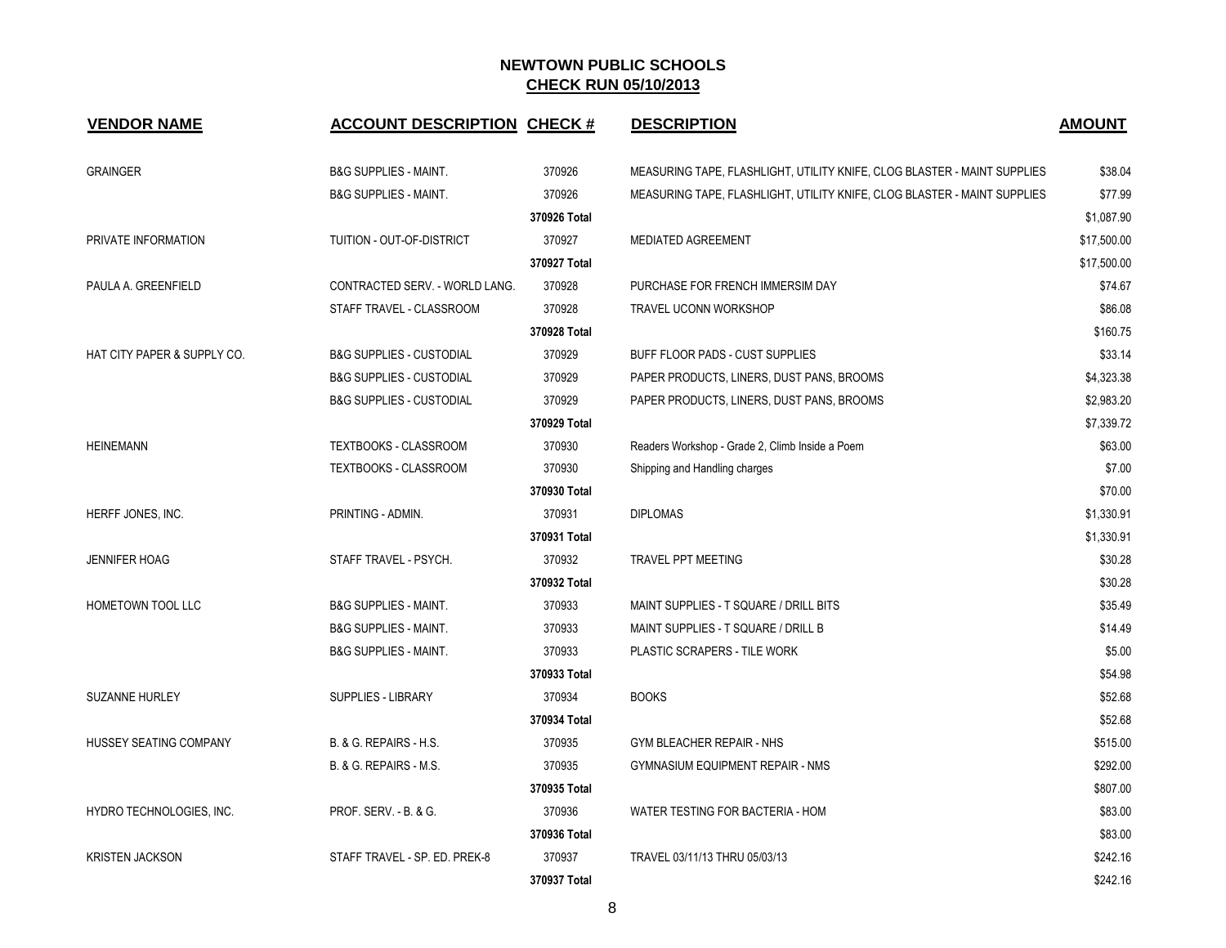| <b>VENDOR NAME</b>          | <b>ACCOUNT DESCRIPTION CHECK #</b>  |              | <b>DESCRIPTION</b>                                                       | <b>AMOUNT</b> |
|-----------------------------|-------------------------------------|--------------|--------------------------------------------------------------------------|---------------|
| <b>GRAINGER</b>             | <b>B&amp;G SUPPLIES - MAINT.</b>    | 370926       | MEASURING TAPE, FLASHLIGHT, UTILITY KNIFE, CLOG BLASTER - MAINT SUPPLIES | \$38.04       |
|                             | <b>B&amp;G SUPPLIES - MAINT.</b>    | 370926       | MEASURING TAPE, FLASHLIGHT, UTILITY KNIFE, CLOG BLASTER - MAINT SUPPLIES | \$77.99       |
|                             |                                     | 370926 Total |                                                                          | \$1,087.90    |
| PRIVATE INFORMATION         | TUITION - OUT-OF-DISTRICT           | 370927       | <b>MEDIATED AGREEMENT</b>                                                | \$17,500.00   |
|                             |                                     | 370927 Total |                                                                          | \$17,500.00   |
| PAULA A. GREENFIELD         | CONTRACTED SERV. - WORLD LANG.      | 370928       | PURCHASE FOR FRENCH IMMERSIM DAY                                         | \$74.67       |
|                             | STAFF TRAVEL - CLASSROOM            | 370928       | <b>TRAVEL UCONN WORKSHOP</b>                                             | \$86.08       |
|                             |                                     | 370928 Total |                                                                          | \$160.75      |
| HAT CITY PAPER & SUPPLY CO. | <b>B&amp;G SUPPLIES - CUSTODIAL</b> | 370929       | BUFF FLOOR PADS - CUST SUPPLIES                                          | \$33.14       |
|                             | <b>B&amp;G SUPPLIES - CUSTODIAL</b> | 370929       | PAPER PRODUCTS, LINERS, DUST PANS, BROOMS                                | \$4,323.38    |
|                             | <b>B&amp;G SUPPLIES - CUSTODIAL</b> | 370929       | PAPER PRODUCTS, LINERS, DUST PANS, BROOMS                                | \$2,983.20    |
|                             |                                     | 370929 Total |                                                                          | \$7,339.72    |
| <b>HEINEMANN</b>            | TEXTBOOKS - CLASSROOM               | 370930       | Readers Workshop - Grade 2, Climb Inside a Poem                          | \$63.00       |
|                             | TEXTBOOKS - CLASSROOM               | 370930       | Shipping and Handling charges                                            | \$7.00        |
|                             |                                     | 370930 Total |                                                                          | \$70.00       |
| HERFF JONES, INC.           | PRINTING - ADMIN.                   | 370931       | <b>DIPLOMAS</b>                                                          | \$1,330.91    |
|                             |                                     | 370931 Total |                                                                          | \$1,330.91    |
| <b>JENNIFER HOAG</b>        | STAFF TRAVEL - PSYCH.               | 370932       | <b>TRAVEL PPT MEETING</b>                                                | \$30.28       |
|                             |                                     | 370932 Total |                                                                          | \$30.28       |
| HOMETOWN TOOL LLC           | <b>B&amp;G SUPPLIES - MAINT.</b>    | 370933       | MAINT SUPPLIES - T SQUARE / DRILL BITS                                   | \$35.49       |
|                             | <b>B&amp;G SUPPLIES - MAINT.</b>    | 370933       | MAINT SUPPLIES - T SQUARE / DRILL B                                      | \$14.49       |
|                             | <b>B&amp;G SUPPLIES - MAINT.</b>    | 370933       | PLASTIC SCRAPERS - TILE WORK                                             | \$5.00        |
|                             |                                     | 370933 Total |                                                                          | \$54.98       |
| <b>SUZANNE HURLEY</b>       | <b>SUPPLIES - LIBRARY</b>           | 370934       | <b>BOOKS</b>                                                             | \$52.68       |
|                             |                                     | 370934 Total |                                                                          | \$52.68       |
| HUSSEY SEATING COMPANY      | B. & G. REPAIRS - H.S.              | 370935       | GYM BLEACHER REPAIR - NHS                                                | \$515.00      |
|                             | B. & G. REPAIRS - M.S.              | 370935       | <b>GYMNASIUM EQUIPMENT REPAIR - NMS</b>                                  | \$292.00      |
|                             |                                     | 370935 Total |                                                                          | \$807.00      |
| HYDRO TECHNOLOGIES, INC.    | <b>PROF. SERV. - B. &amp; G.</b>    | 370936       | WATER TESTING FOR BACTERIA - HOM                                         | \$83.00       |
|                             |                                     | 370936 Total |                                                                          | \$83.00       |
| <b>KRISTEN JACKSON</b>      | STAFF TRAVEL - SP. ED. PREK-8       | 370937       | TRAVEL 03/11/13 THRU 05/03/13                                            | \$242.16      |
|                             |                                     | 370937 Total |                                                                          | \$242.16      |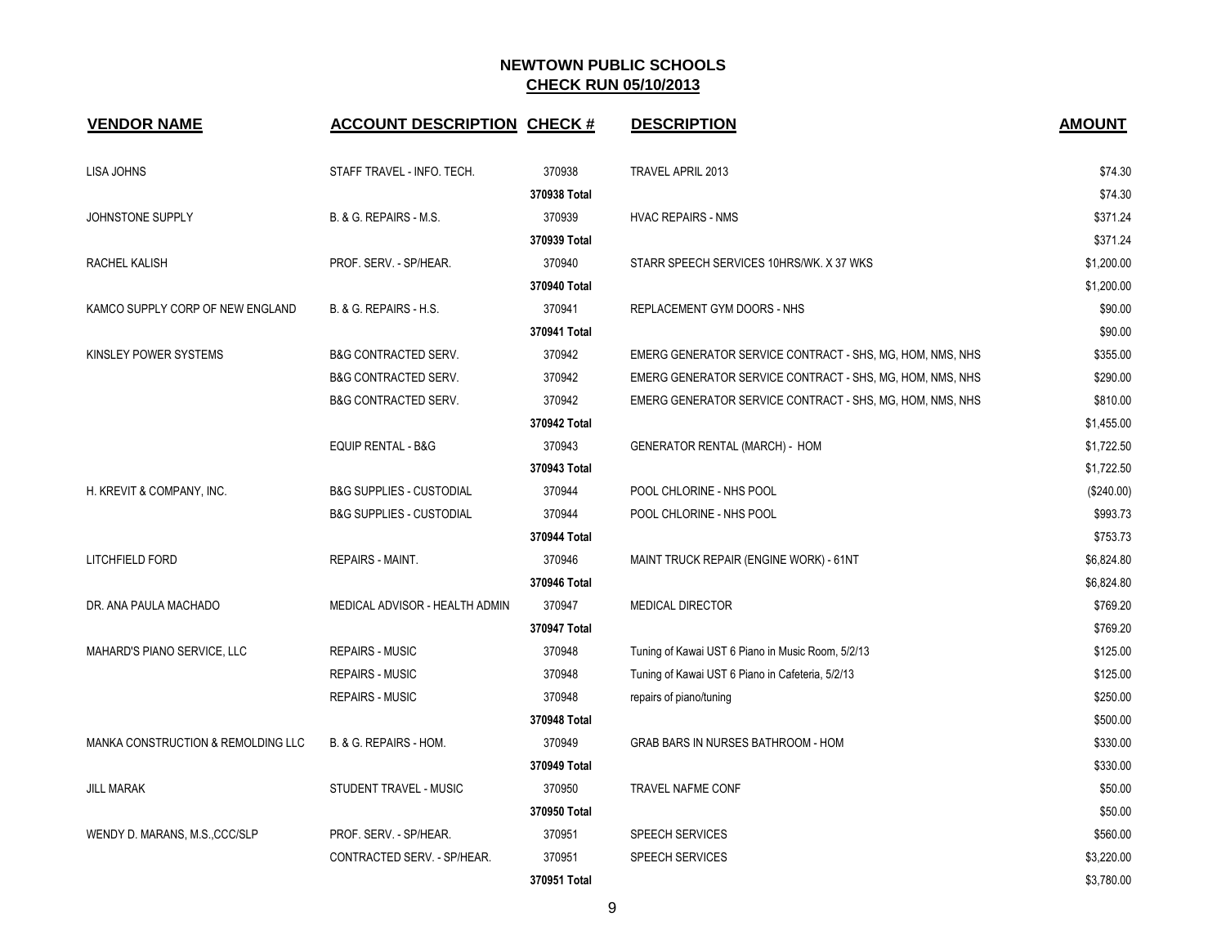| <b>VENDOR NAME</b>                 | <b>ACCOUNT DESCRIPTION CHECK #</b>  |              | <b>DESCRIPTION</b>                                        | <b>AMOUNT</b> |
|------------------------------------|-------------------------------------|--------------|-----------------------------------------------------------|---------------|
| LISA JOHNS                         | STAFF TRAVEL - INFO. TECH.          | 370938       | <b>TRAVEL APRIL 2013</b>                                  | \$74.30       |
|                                    |                                     | 370938 Total |                                                           | \$74.30       |
| JOHNSTONE SUPPLY                   | B. & G. REPAIRS - M.S.              | 370939       | <b>HVAC REPAIRS - NMS</b>                                 | \$371.24      |
|                                    |                                     | 370939 Total |                                                           | \$371.24      |
| RACHEL KALISH                      | PROF. SERV. - SP/HEAR.              | 370940       | STARR SPEECH SERVICES 10HRS/WK. X 37 WKS                  | \$1,200.00    |
|                                    |                                     | 370940 Total |                                                           | \$1,200.00    |
| KAMCO SUPPLY CORP OF NEW ENGLAND   | B. & G. REPAIRS - H.S.              | 370941       | REPLACEMENT GYM DOORS - NHS                               | \$90.00       |
|                                    |                                     | 370941 Total |                                                           | \$90.00       |
| KINSLEY POWER SYSTEMS              | <b>B&amp;G CONTRACTED SERV.</b>     | 370942       | EMERG GENERATOR SERVICE CONTRACT - SHS, MG, HOM, NMS, NHS | \$355.00      |
|                                    | <b>B&amp;G CONTRACTED SERV.</b>     | 370942       | EMERG GENERATOR SERVICE CONTRACT - SHS, MG, HOM, NMS, NHS | \$290.00      |
|                                    | <b>B&amp;G CONTRACTED SERV.</b>     | 370942       | EMERG GENERATOR SERVICE CONTRACT - SHS, MG, HOM, NMS, NHS | \$810.00      |
|                                    |                                     | 370942 Total |                                                           | \$1,455.00    |
|                                    | <b>EQUIP RENTAL - B&amp;G</b>       | 370943       | <b>GENERATOR RENTAL (MARCH) - HOM</b>                     | \$1,722.50    |
|                                    |                                     | 370943 Total |                                                           | \$1,722.50    |
| H. KREVIT & COMPANY, INC.          | <b>B&amp;G SUPPLIES - CUSTODIAL</b> | 370944       | POOL CHLORINE - NHS POOL                                  | (\$240.00)    |
|                                    | <b>B&amp;G SUPPLIES - CUSTODIAL</b> | 370944       | POOL CHLORINE - NHS POOL                                  | \$993.73      |
|                                    |                                     | 370944 Total |                                                           | \$753.73      |
| LITCHFIELD FORD                    | <b>REPAIRS - MAINT.</b>             | 370946       | MAINT TRUCK REPAIR (ENGINE WORK) - 61NT                   | \$6,824.80    |
|                                    |                                     | 370946 Total |                                                           | \$6,824.80    |
| DR. ANA PAULA MACHADO              | MEDICAL ADVISOR - HEALTH ADMIN      | 370947       | <b>MEDICAL DIRECTOR</b>                                   | \$769.20      |
|                                    |                                     | 370947 Total |                                                           | \$769.20      |
| MAHARD'S PIANO SERVICE, LLC        | <b>REPAIRS - MUSIC</b>              | 370948       | Tuning of Kawai UST 6 Piano in Music Room, 5/2/13         | \$125.00      |
|                                    | <b>REPAIRS - MUSIC</b>              | 370948       | Tuning of Kawai UST 6 Piano in Cafeteria, 5/2/13          | \$125.00      |
|                                    | <b>REPAIRS - MUSIC</b>              | 370948       | repairs of piano/tuning                                   | \$250.00      |
|                                    |                                     | 370948 Total |                                                           | \$500.00      |
| MANKA CONSTRUCTION & REMOLDING LLC | B. & G. REPAIRS - HOM.              | 370949       | GRAB BARS IN NURSES BATHROOM - HOM                        | \$330.00      |
|                                    |                                     | 370949 Total |                                                           | \$330.00      |
| <b>JILL MARAK</b>                  | <b>STUDENT TRAVEL - MUSIC</b>       | 370950       | TRAVEL NAFME CONF                                         | \$50.00       |
|                                    |                                     | 370950 Total |                                                           | \$50.00       |
| WENDY D. MARANS, M.S., CCC/SLP     | PROF. SERV. - SP/HEAR.              | 370951       | <b>SPEECH SERVICES</b>                                    | \$560.00      |
|                                    | CONTRACTED SERV. - SP/HEAR.         | 370951       | <b>SPEECH SERVICES</b>                                    | \$3,220.00    |
|                                    |                                     | 370951 Total |                                                           | \$3,780.00    |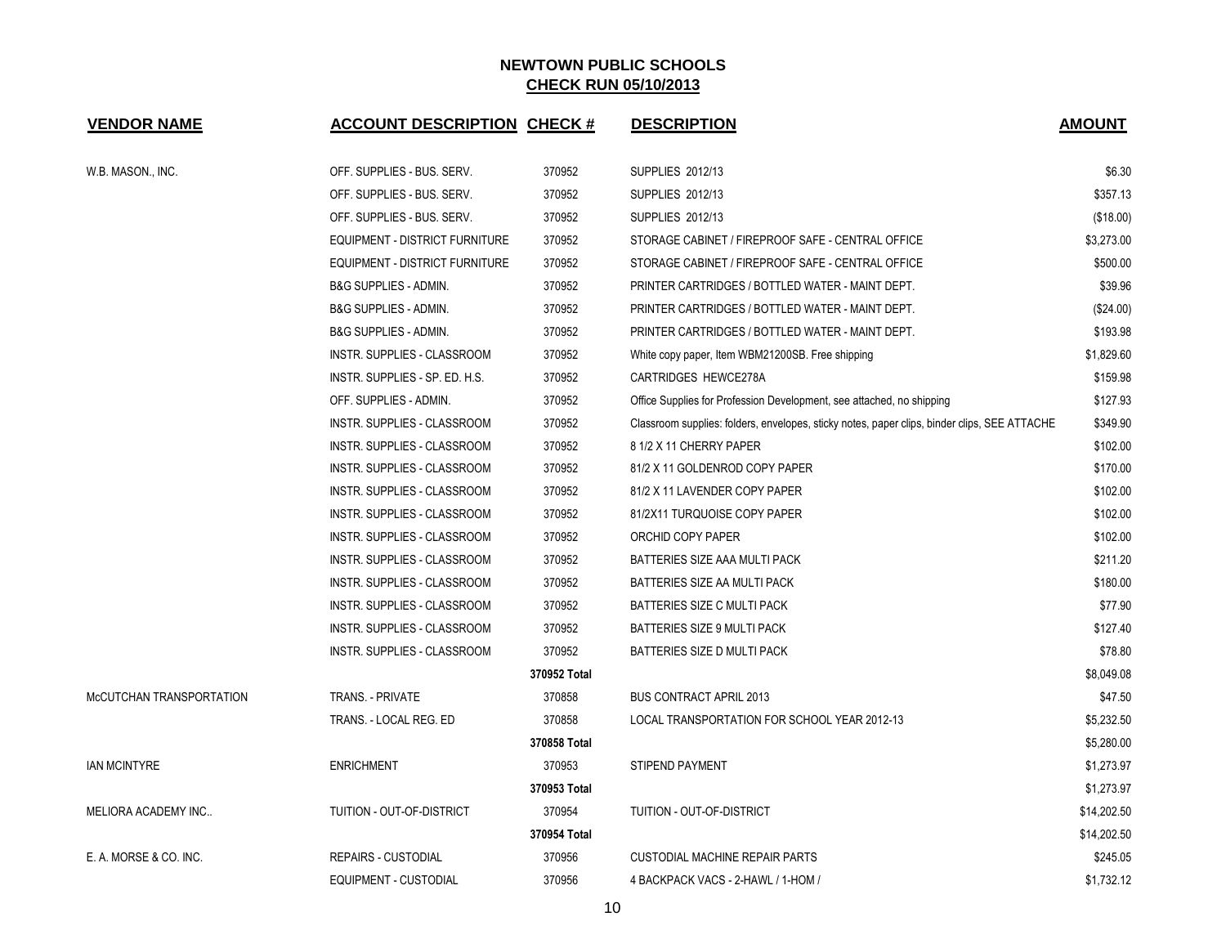| <b>VENDOR NAME</b>         | <b>ACCOUNT DESCRIPTION CHECK #</b>    |              | <b>DESCRIPTION</b>                                                                           | <b>AMOUNT</b> |
|----------------------------|---------------------------------------|--------------|----------------------------------------------------------------------------------------------|---------------|
| W.B. MASON., INC.          | OFF. SUPPLIES - BUS. SERV.            | 370952       | <b>SUPPLIES 2012/13</b>                                                                      | \$6.30        |
|                            | OFF. SUPPLIES - BUS. SERV.            | 370952       | <b>SUPPLIES 2012/13</b>                                                                      | \$357.13      |
|                            | OFF. SUPPLIES - BUS. SERV.            | 370952       | <b>SUPPLIES 2012/13</b>                                                                      | (\$18.00)     |
|                            | EQUIPMENT - DISTRICT FURNITURE        | 370952       | STORAGE CABINET / FIREPROOF SAFE - CENTRAL OFFICE                                            | \$3,273.00    |
|                            | <b>EQUIPMENT - DISTRICT FURNITURE</b> | 370952       | STORAGE CABINET / FIREPROOF SAFE - CENTRAL OFFICE                                            | \$500.00      |
|                            | <b>B&amp;G SUPPLIES - ADMIN.</b>      | 370952       | PRINTER CARTRIDGES / BOTTLED WATER - MAINT DEPT.                                             | \$39.96       |
|                            | <b>B&amp;G SUPPLIES - ADMIN.</b>      | 370952       | PRINTER CARTRIDGES / BOTTLED WATER - MAINT DEPT.                                             | $(\$24.00)$   |
|                            | <b>B&amp;G SUPPLIES - ADMIN.</b>      | 370952       | PRINTER CARTRIDGES / BOTTLED WATER - MAINT DEPT.                                             | \$193.98      |
|                            | INSTR. SUPPLIES - CLASSROOM           | 370952       | White copy paper, Item WBM21200SB. Free shipping                                             | \$1,829.60    |
|                            | INSTR. SUPPLIES - SP. ED. H.S.        | 370952       | CARTRIDGES HEWCE278A                                                                         | \$159.98      |
|                            | OFF. SUPPLIES - ADMIN.                | 370952       | Office Supplies for Profession Development, see attached, no shipping                        | \$127.93      |
|                            | INSTR. SUPPLIES - CLASSROOM           | 370952       | Classroom supplies: folders, envelopes, sticky notes, paper clips, binder clips, SEE ATTACHE | \$349.90      |
|                            | INSTR. SUPPLIES - CLASSROOM           | 370952       | 8 1/2 X 11 CHERRY PAPER                                                                      | \$102.00      |
|                            | INSTR. SUPPLIES - CLASSROOM           | 370952       | 81/2 X 11 GOLDENROD COPY PAPER                                                               | \$170.00      |
|                            | INSTR. SUPPLIES - CLASSROOM           | 370952       | 81/2 X 11 LAVENDER COPY PAPER                                                                | \$102.00      |
|                            | INSTR. SUPPLIES - CLASSROOM           | 370952       | 81/2X11 TURQUOISE COPY PAPER                                                                 | \$102.00      |
|                            | INSTR. SUPPLIES - CLASSROOM           | 370952       | ORCHID COPY PAPER                                                                            | \$102.00      |
|                            | INSTR. SUPPLIES - CLASSROOM           | 370952       | BATTERIES SIZE AAA MULTI PACK                                                                | \$211.20      |
|                            | INSTR. SUPPLIES - CLASSROOM           | 370952       | BATTERIES SIZE AA MULTI PACK                                                                 | \$180.00      |
|                            | INSTR. SUPPLIES - CLASSROOM           | 370952       | <b>BATTERIES SIZE C MULTI PACK</b>                                                           | \$77.90       |
|                            | INSTR. SUPPLIES - CLASSROOM           | 370952       | BATTERIES SIZE 9 MULTI PACK                                                                  | \$127.40      |
|                            | INSTR. SUPPLIES - CLASSROOM           | 370952       | BATTERIES SIZE D MULTI PACK                                                                  | \$78.80       |
|                            |                                       | 370952 Total |                                                                                              | \$8,049.08    |
| McCUTCHAN TRANSPORTATION   | <b>TRANS. - PRIVATE</b>               | 370858       | <b>BUS CONTRACT APRIL 2013</b>                                                               | \$47.50       |
|                            | TRANS. - LOCAL REG. ED                | 370858       | LOCAL TRANSPORTATION FOR SCHOOL YEAR 2012-13                                                 | \$5,232.50    |
|                            |                                       | 370858 Total |                                                                                              | \$5,280.00    |
| <b>IAN MCINTYRE</b>        | <b>ENRICHMENT</b>                     | 370953       | <b>STIPEND PAYMENT</b>                                                                       | \$1,273.97    |
|                            |                                       | 370953 Total |                                                                                              | \$1,273.97    |
| <b>MELIORA ACADEMY INC</b> | TUITION - OUT-OF-DISTRICT             | 370954       | TUITION - OUT-OF-DISTRICT                                                                    | \$14,202.50   |
|                            |                                       | 370954 Total |                                                                                              | \$14,202.50   |
| E. A. MORSE & CO. INC.     | REPAIRS - CUSTODIAL                   | 370956       | <b>CUSTODIAL MACHINE REPAIR PARTS</b>                                                        | \$245.05      |
|                            | <b>EQUIPMENT - CUSTODIAL</b>          | 370956       | 4 BACKPACK VACS - 2-HAWL / 1-HOM /                                                           | \$1,732.12    |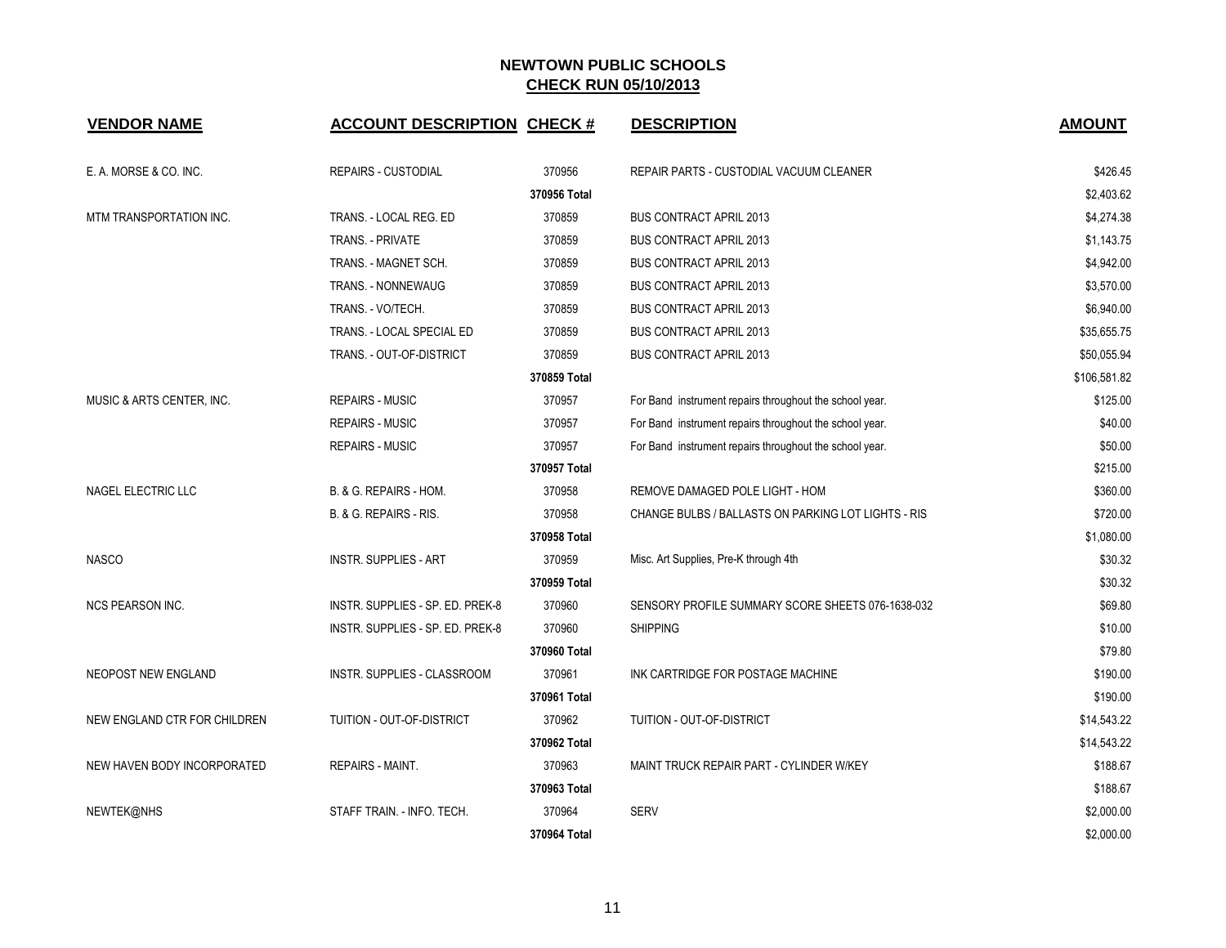| <b>VENDOR NAME</b>           | <b>ACCOUNT DESCRIPTION CHECK #</b> |              | <b>DESCRIPTION</b>                                      | <b>AMOUNT</b> |
|------------------------------|------------------------------------|--------------|---------------------------------------------------------|---------------|
| E. A. MORSE & CO. INC.       | <b>REPAIRS - CUSTODIAL</b>         | 370956       | REPAIR PARTS - CUSTODIAL VACUUM CLEANER                 | \$426.45      |
|                              |                                    | 370956 Total |                                                         | \$2,403.62    |
| MTM TRANSPORTATION INC.      | TRANS. - LOCAL REG. ED             | 370859       | <b>BUS CONTRACT APRIL 2013</b>                          | \$4,274.38    |
|                              | <b>TRANS. - PRIVATE</b>            | 370859       | <b>BUS CONTRACT APRIL 2013</b>                          | \$1,143.75    |
|                              | TRANS. - MAGNET SCH.               | 370859       | <b>BUS CONTRACT APRIL 2013</b>                          | \$4,942.00    |
|                              | <b>TRANS. - NONNEWAUG</b>          | 370859       | <b>BUS CONTRACT APRIL 2013</b>                          | \$3,570.00    |
|                              | TRANS. - VO/TECH.                  | 370859       | <b>BUS CONTRACT APRIL 2013</b>                          | \$6,940.00    |
|                              | TRANS. - LOCAL SPECIAL ED          | 370859       | <b>BUS CONTRACT APRIL 2013</b>                          | \$35,655.75   |
|                              | TRANS. - OUT-OF-DISTRICT           | 370859       | <b>BUS CONTRACT APRIL 2013</b>                          | \$50,055.94   |
|                              |                                    | 370859 Total |                                                         | \$106,581.82  |
| MUSIC & ARTS CENTER, INC.    | <b>REPAIRS - MUSIC</b>             | 370957       | For Band instrument repairs throughout the school year. | \$125.00      |
|                              | <b>REPAIRS - MUSIC</b>             | 370957       | For Band instrument repairs throughout the school year. | \$40.00       |
|                              | <b>REPAIRS - MUSIC</b>             | 370957       | For Band instrument repairs throughout the school year. | \$50.00       |
|                              |                                    | 370957 Total |                                                         | \$215.00      |
| NAGEL ELECTRIC LLC           | B. & G. REPAIRS - HOM.             | 370958       | REMOVE DAMAGED POLE LIGHT - HOM                         | \$360.00      |
|                              | B. & G. REPAIRS - RIS.             | 370958       | CHANGE BULBS / BALLASTS ON PARKING LOT LIGHTS - RIS     | \$720.00      |
|                              |                                    | 370958 Total |                                                         | \$1,080.00    |
| <b>NASCO</b>                 | <b>INSTR. SUPPLIES - ART</b>       | 370959       | Misc. Art Supplies, Pre-K through 4th                   | \$30.32       |
|                              |                                    | 370959 Total |                                                         | \$30.32       |
| <b>NCS PEARSON INC.</b>      | INSTR. SUPPLIES - SP. ED. PREK-8   | 370960       | SENSORY PROFILE SUMMARY SCORE SHEETS 076-1638-032       | \$69.80       |
|                              | INSTR. SUPPLIES - SP. ED. PREK-8   | 370960       | <b>SHIPPING</b>                                         | \$10.00       |
|                              |                                    | 370960 Total |                                                         | \$79.80       |
| <b>NEOPOST NEW ENGLAND</b>   | INSTR. SUPPLIES - CLASSROOM        | 370961       | INK CARTRIDGE FOR POSTAGE MACHINE                       | \$190.00      |
|                              |                                    | 370961 Total |                                                         | \$190.00      |
| NEW ENGLAND CTR FOR CHILDREN | TUITION - OUT-OF-DISTRICT          | 370962       | TUITION - OUT-OF-DISTRICT                               | \$14,543.22   |
|                              |                                    | 370962 Total |                                                         | \$14,543.22   |
| NEW HAVEN BODY INCORPORATED  | <b>REPAIRS - MAINT.</b>            | 370963       | MAINT TRUCK REPAIR PART - CYLINDER W/KEY                | \$188.67      |
|                              |                                    | 370963 Total |                                                         | \$188.67      |
| NEWTEK@NHS                   | STAFF TRAIN. - INFO. TECH.         | 370964       | <b>SERV</b>                                             | \$2,000.00    |
|                              |                                    | 370964 Total |                                                         | \$2,000.00    |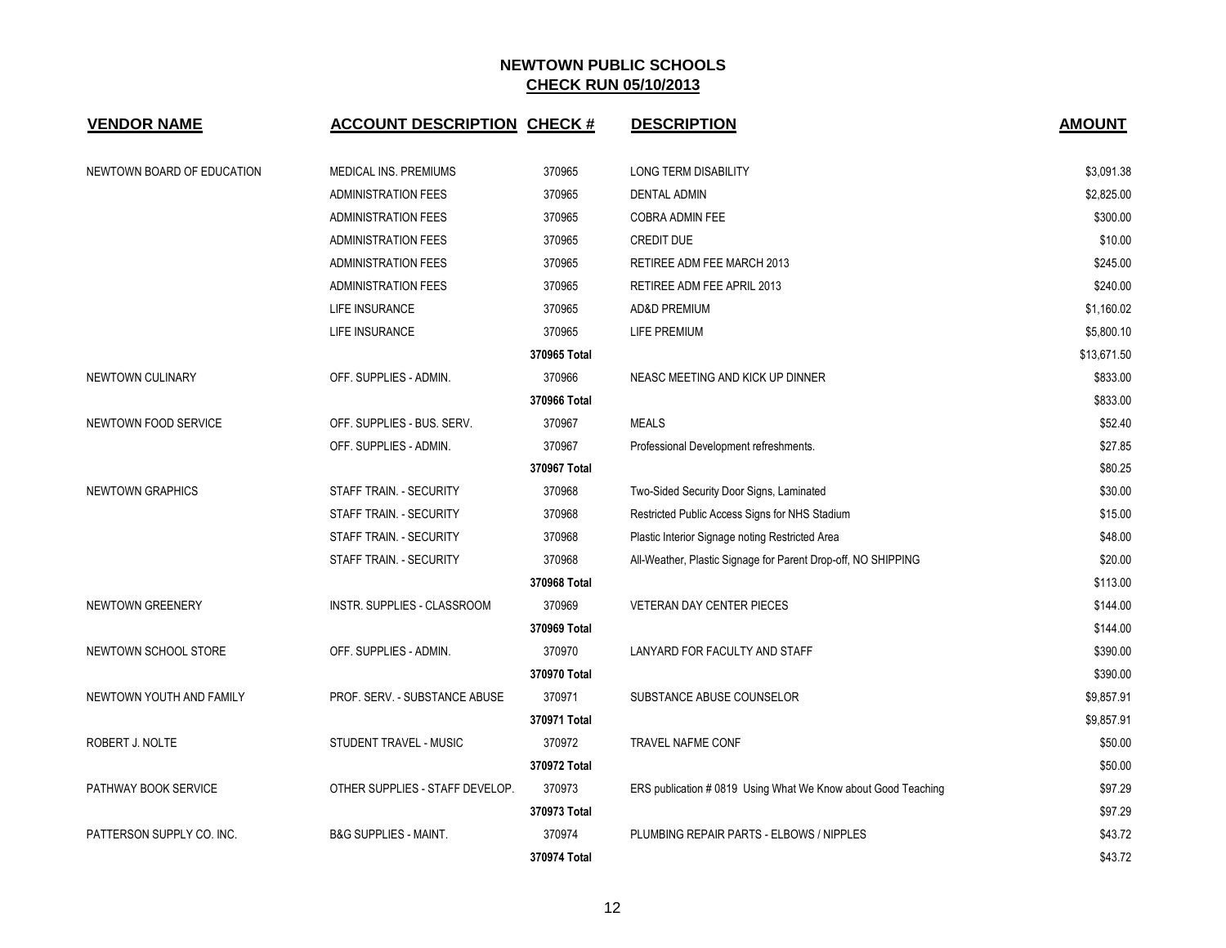| <b>VENDOR NAME</b>         | <b>ACCOUNT DESCRIPTION CHECK #</b> |              | <b>DESCRIPTION</b>                                            | <b>AMOUNT</b> |
|----------------------------|------------------------------------|--------------|---------------------------------------------------------------|---------------|
| NEWTOWN BOARD OF EDUCATION | <b>MEDICAL INS. PREMIUMS</b>       | 370965       | <b>LONG TERM DISABILITY</b>                                   | \$3,091.38    |
|                            | <b>ADMINISTRATION FEES</b>         | 370965       | <b>DENTAL ADMIN</b>                                           | \$2,825.00    |
|                            | <b>ADMINISTRATION FEES</b>         | 370965       | <b>COBRA ADMIN FEE</b>                                        | \$300.00      |
|                            | <b>ADMINISTRATION FEES</b>         | 370965       | <b>CREDIT DUE</b>                                             | \$10.00       |
|                            | <b>ADMINISTRATION FEES</b>         | 370965       | RETIREE ADM FEE MARCH 2013                                    | \$245.00      |
|                            | <b>ADMINISTRATION FEES</b>         | 370965       | RETIREE ADM FEE APRIL 2013                                    | \$240.00      |
|                            | LIFE INSURANCE                     | 370965       | <b>AD&amp;D PREMIUM</b>                                       | \$1,160.02    |
|                            | LIFE INSURANCE                     | 370965       | <b>LIFE PREMIUM</b>                                           | \$5,800.10    |
|                            |                                    | 370965 Total |                                                               | \$13,671.50   |
| NEWTOWN CULINARY           | OFF. SUPPLIES - ADMIN.             | 370966       | NEASC MEETING AND KICK UP DINNER                              | \$833.00      |
|                            |                                    | 370966 Total |                                                               | \$833.00      |
| NEWTOWN FOOD SERVICE       | OFF. SUPPLIES - BUS. SERV.         | 370967       | <b>MEALS</b>                                                  | \$52.40       |
|                            | OFF. SUPPLIES - ADMIN.             | 370967       | Professional Development refreshments.                        | \$27.85       |
|                            |                                    | 370967 Total |                                                               | \$80.25       |
| <b>NEWTOWN GRAPHICS</b>    | STAFF TRAIN. - SECURITY            | 370968       | Two-Sided Security Door Signs, Laminated                      | \$30.00       |
|                            | STAFF TRAIN. - SECURITY            | 370968       | Restricted Public Access Signs for NHS Stadium                | \$15.00       |
|                            | STAFF TRAIN. - SECURITY            | 370968       | Plastic Interior Signage noting Restricted Area               | \$48.00       |
|                            | STAFF TRAIN. - SECURITY            | 370968       | All-Weather, Plastic Signage for Parent Drop-off, NO SHIPPING | \$20.00       |
|                            |                                    | 370968 Total |                                                               | \$113.00      |
| NEWTOWN GREENERY           | INSTR. SUPPLIES - CLASSROOM        | 370969       | <b>VETERAN DAY CENTER PIECES</b>                              | \$144.00      |
|                            |                                    | 370969 Total |                                                               | \$144.00      |
| NEWTOWN SCHOOL STORE       | OFF. SUPPLIES - ADMIN.             | 370970       | LANYARD FOR FACULTY AND STAFF                                 | \$390.00      |
|                            |                                    | 370970 Total |                                                               | \$390.00      |
| NEWTOWN YOUTH AND FAMILY   | PROF. SERV. - SUBSTANCE ABUSE      | 370971       | SUBSTANCE ABUSE COUNSELOR                                     | \$9,857.91    |
|                            |                                    | 370971 Total |                                                               | \$9,857.91    |
| ROBERT J. NOLTE            | STUDENT TRAVEL - MUSIC             | 370972       | TRAVEL NAFME CONF                                             | \$50.00       |
|                            |                                    | 370972 Total |                                                               | \$50.00       |
| PATHWAY BOOK SERVICE       | OTHER SUPPLIES - STAFF DEVELOP.    | 370973       | ERS publication # 0819 Using What We Know about Good Teaching | \$97.29       |
|                            |                                    | 370973 Total |                                                               | \$97.29       |
| PATTERSON SUPPLY CO. INC.  | <b>B&amp;G SUPPLIES - MAINT.</b>   | 370974       | PLUMBING REPAIR PARTS - ELBOWS / NIPPLES                      | \$43.72       |
|                            |                                    | 370974 Total |                                                               | \$43.72       |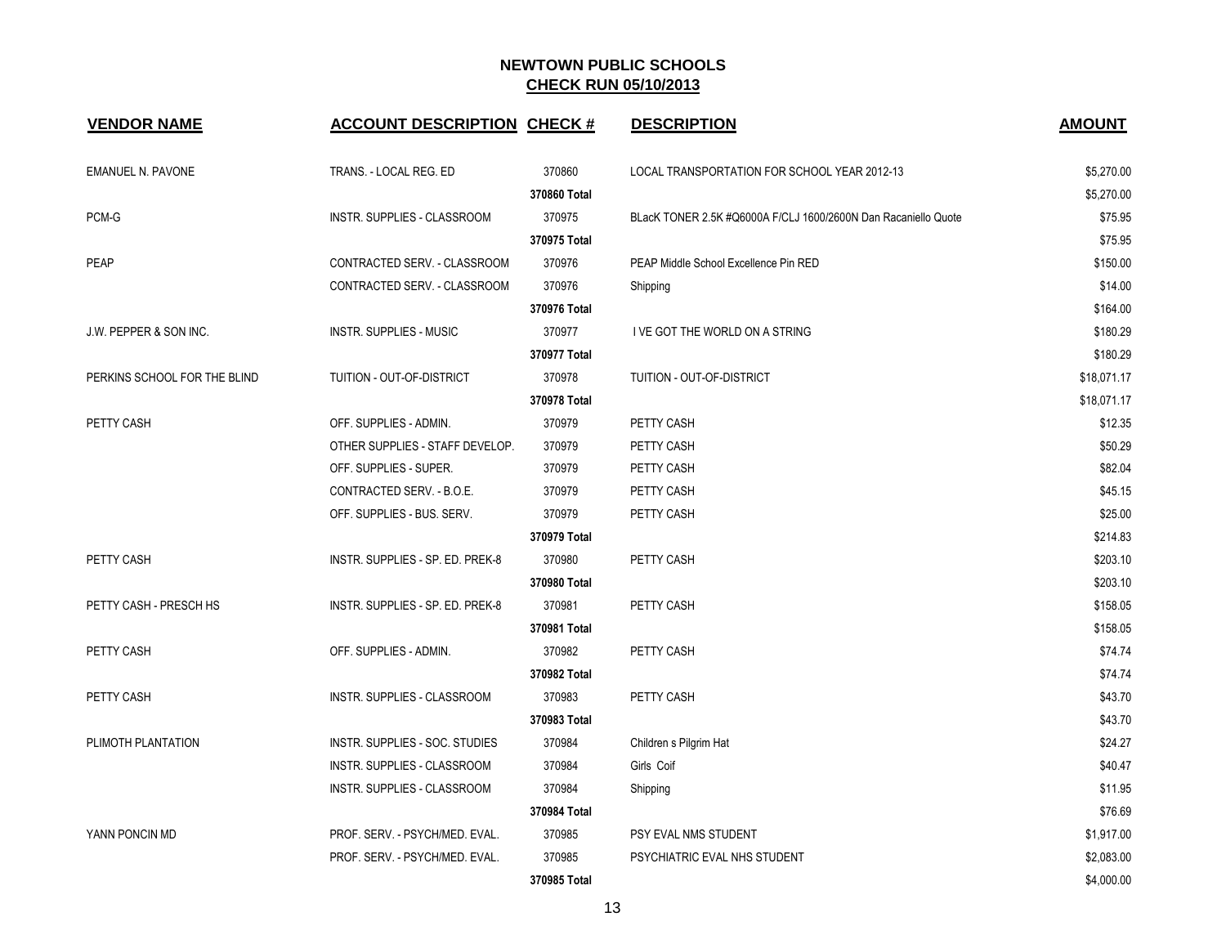| <b>VENDOR NAME</b>                | <b>ACCOUNT DESCRIPTION CHECK #</b> |              | <b>DESCRIPTION</b>                                             | <b>AMOUNT</b> |
|-----------------------------------|------------------------------------|--------------|----------------------------------------------------------------|---------------|
| <b>EMANUEL N. PAVONE</b>          | TRANS. - LOCAL REG. ED             | 370860       | LOCAL TRANSPORTATION FOR SCHOOL YEAR 2012-13                   | \$5,270.00    |
|                                   |                                    | 370860 Total |                                                                | \$5,270.00    |
| PCM-G                             | <b>INSTR. SUPPLIES - CLASSROOM</b> | 370975       | BLacK TONER 2.5K #Q6000A F/CLJ 1600/2600N Dan Racaniello Quote | \$75.95       |
|                                   |                                    | 370975 Total |                                                                | \$75.95       |
| <b>PEAP</b>                       | CONTRACTED SERV. - CLASSROOM       | 370976       | PEAP Middle School Excellence Pin RED                          | \$150.00      |
|                                   | CONTRACTED SERV. - CLASSROOM       | 370976       | Shipping                                                       | \$14.00       |
|                                   |                                    | 370976 Total |                                                                | \$164.00      |
| <b>J.W. PEPPER &amp; SON INC.</b> | <b>INSTR. SUPPLIES - MUSIC</b>     | 370977       | I VE GOT THE WORLD ON A STRING                                 | \$180.29      |
|                                   |                                    | 370977 Total |                                                                | \$180.29      |
| PERKINS SCHOOL FOR THE BLIND      | TUITION - OUT-OF-DISTRICT          | 370978       | TUITION - OUT-OF-DISTRICT                                      | \$18,071.17   |
|                                   |                                    | 370978 Total |                                                                | \$18,071.17   |
| PETTY CASH                        | OFF. SUPPLIES - ADMIN.             | 370979       | PETTY CASH                                                     | \$12.35       |
|                                   | OTHER SUPPLIES - STAFF DEVELOP.    | 370979       | PETTY CASH                                                     | \$50.29       |
|                                   | OFF. SUPPLIES - SUPER.             | 370979       | PETTY CASH                                                     | \$82.04       |
|                                   | CONTRACTED SERV. - B.O.E.          | 370979       | PETTY CASH                                                     | \$45.15       |
|                                   | OFF. SUPPLIES - BUS. SERV.         | 370979       | PETTY CASH                                                     | \$25.00       |
|                                   |                                    | 370979 Total |                                                                | \$214.83      |
| PETTY CASH                        | INSTR. SUPPLIES - SP. ED. PREK-8   | 370980       | PETTY CASH                                                     | \$203.10      |
|                                   |                                    | 370980 Total |                                                                | \$203.10      |
| PETTY CASH - PRESCH HS            | INSTR. SUPPLIES - SP. ED. PREK-8   | 370981       | PETTY CASH                                                     | \$158.05      |
|                                   |                                    | 370981 Total |                                                                | \$158.05      |
| PETTY CASH                        | OFF. SUPPLIES - ADMIN.             | 370982       | PETTY CASH                                                     | \$74.74       |
|                                   |                                    | 370982 Total |                                                                | \$74.74       |
| PETTY CASH                        | INSTR. SUPPLIES - CLASSROOM        | 370983       | PETTY CASH                                                     | \$43.70       |
|                                   |                                    | 370983 Total |                                                                | \$43.70       |
| PLIMOTH PLANTATION                | INSTR. SUPPLIES - SOC. STUDIES     | 370984       | Children s Pilgrim Hat                                         | \$24.27       |
|                                   | INSTR. SUPPLIES - CLASSROOM        | 370984       | Girls Coif                                                     | \$40.47       |
|                                   | <b>INSTR. SUPPLIES - CLASSROOM</b> | 370984       | Shipping                                                       | \$11.95       |
|                                   |                                    | 370984 Total |                                                                | \$76.69       |
| YANN PONCIN MD                    | PROF. SERV. - PSYCH/MED. EVAL.     | 370985       | PSY EVAL NMS STUDENT                                           | \$1,917.00    |
|                                   | PROF. SERV. - PSYCH/MED. EVAL.     | 370985       | PSYCHIATRIC EVAL NHS STUDENT                                   | \$2,083.00    |
|                                   |                                    | 370985 Total |                                                                | \$4,000.00    |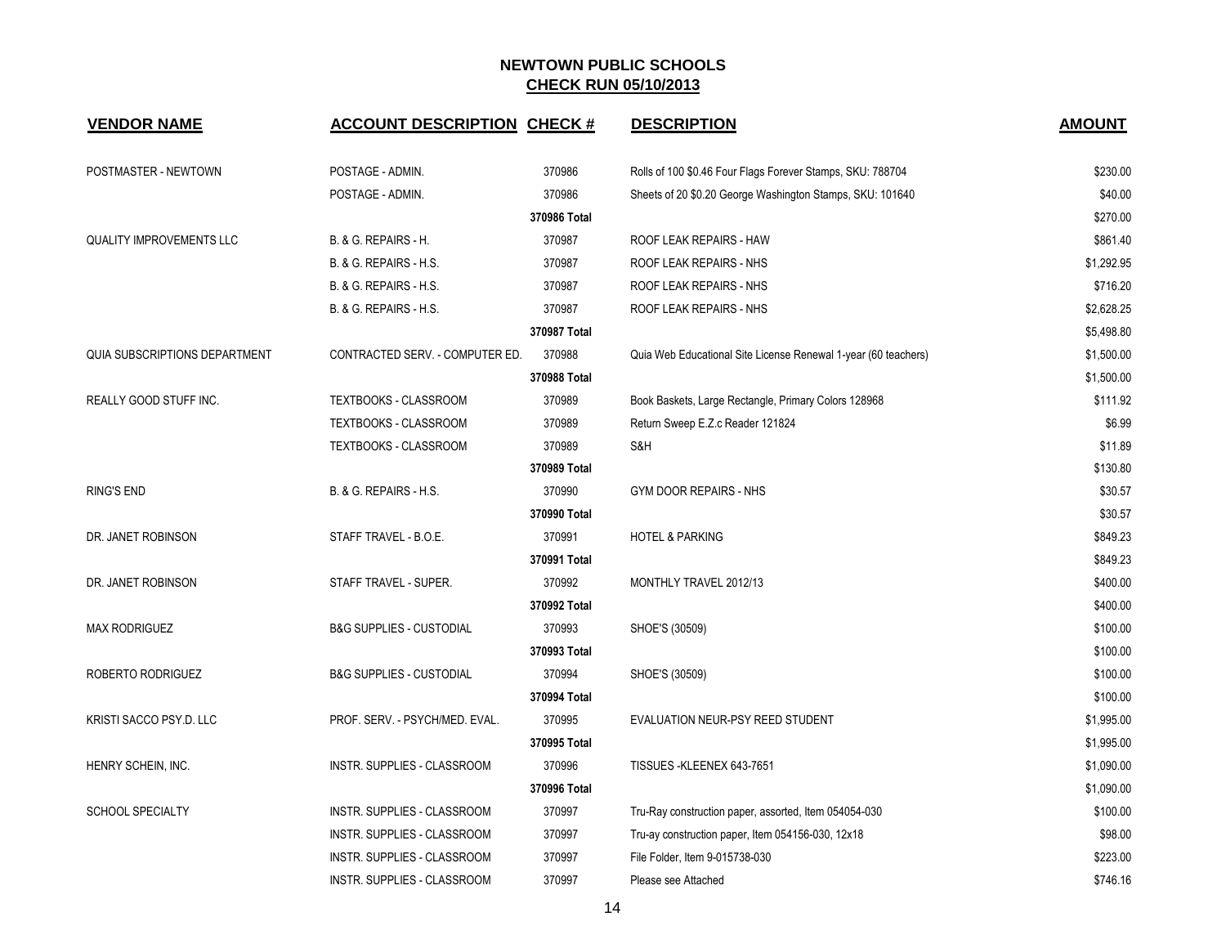| <b>VENDOR NAME</b>                   | <b>ACCOUNT DESCRIPTION CHECK #</b>  |              | <b>DESCRIPTION</b>                                             | <b>AMOUNT</b> |
|--------------------------------------|-------------------------------------|--------------|----------------------------------------------------------------|---------------|
| POSTMASTER - NEWTOWN                 | POSTAGE - ADMIN.                    | 370986       | Rolls of 100 \$0.46 Four Flags Forever Stamps, SKU: 788704     | \$230.00      |
|                                      | POSTAGE - ADMIN.                    | 370986       | Sheets of 20 \$0.20 George Washington Stamps, SKU: 101640      | \$40.00       |
|                                      |                                     | 370986 Total |                                                                | \$270.00      |
| <b>QUALITY IMPROVEMENTS LLC</b>      | B. & G. REPAIRS - H.                | 370987       | ROOF LEAK REPAIRS - HAW                                        | \$861.40      |
|                                      | B. & G. REPAIRS - H.S.              | 370987       | ROOF LEAK REPAIRS - NHS                                        | \$1,292.95    |
|                                      | B. & G. REPAIRS - H.S.              | 370987       | ROOF LEAK REPAIRS - NHS                                        | \$716.20      |
|                                      | B. & G. REPAIRS - H.S.              | 370987       | ROOF LEAK REPAIRS - NHS                                        | \$2,628.25    |
|                                      |                                     | 370987 Total |                                                                | \$5,498.80    |
| <b>QUIA SUBSCRIPTIONS DEPARTMENT</b> | CONTRACTED SERV. - COMPUTER ED.     | 370988       | Quia Web Educational Site License Renewal 1-year (60 teachers) | \$1,500.00    |
|                                      |                                     | 370988 Total |                                                                | \$1,500.00    |
| <b>REALLY GOOD STUFF INC.</b>        | TEXTBOOKS - CLASSROOM               | 370989       | Book Baskets, Large Rectangle, Primary Colors 128968           | \$111.92      |
|                                      | TEXTBOOKS - CLASSROOM               | 370989       | Return Sweep E.Z.c Reader 121824                               | \$6.99        |
|                                      | TEXTBOOKS - CLASSROOM               | 370989       | S&H                                                            | \$11.89       |
|                                      |                                     | 370989 Total |                                                                | \$130.80      |
| <b>RING'S END</b>                    | B. & G. REPAIRS - H.S.              | 370990       | <b>GYM DOOR REPAIRS - NHS</b>                                  | \$30.57       |
|                                      |                                     | 370990 Total |                                                                | \$30.57       |
| DR. JANET ROBINSON                   | STAFF TRAVEL - B.O.E.               | 370991       | <b>HOTEL &amp; PARKING</b>                                     | \$849.23      |
|                                      |                                     | 370991 Total |                                                                | \$849.23      |
| DR. JANET ROBINSON                   | STAFF TRAVEL - SUPER.               | 370992       | MONTHLY TRAVEL 2012/13                                         | \$400.00      |
|                                      |                                     | 370992 Total |                                                                | \$400.00      |
| <b>MAX RODRIGUEZ</b>                 | <b>B&amp;G SUPPLIES - CUSTODIAL</b> | 370993       | SHOE'S (30509)                                                 | \$100.00      |
|                                      |                                     | 370993 Total |                                                                | \$100.00      |
| ROBERTO RODRIGUEZ                    | <b>B&amp;G SUPPLIES - CUSTODIAL</b> | 370994       | SHOE'S (30509)                                                 | \$100.00      |
|                                      |                                     | 370994 Total |                                                                | \$100.00      |
| KRISTI SACCO PSY.D. LLC              | PROF. SERV. - PSYCH/MED. EVAL.      | 370995       | EVALUATION NEUR-PSY REED STUDENT                               | \$1,995.00    |
|                                      |                                     | 370995 Total |                                                                | \$1,995.00    |
| HENRY SCHEIN, INC.                   | <b>INSTR. SUPPLIES - CLASSROOM</b>  | 370996       | TISSUES - KLEENEX 643-7651                                     | \$1,090.00    |
|                                      |                                     | 370996 Total |                                                                | \$1,090.00    |
| <b>SCHOOL SPECIALTY</b>              | INSTR. SUPPLIES - CLASSROOM         | 370997       | Tru-Ray construction paper, assorted, Item 054054-030          | \$100.00      |
|                                      | INSTR. SUPPLIES - CLASSROOM         | 370997       | Tru-ay construction paper, Item 054156-030, 12x18              | \$98.00       |
|                                      | INSTR. SUPPLIES - CLASSROOM         | 370997       | File Folder, Item 9-015738-030                                 | \$223.00      |
|                                      | INSTR. SUPPLIES - CLASSROOM         | 370997       | Please see Attached                                            | \$746.16      |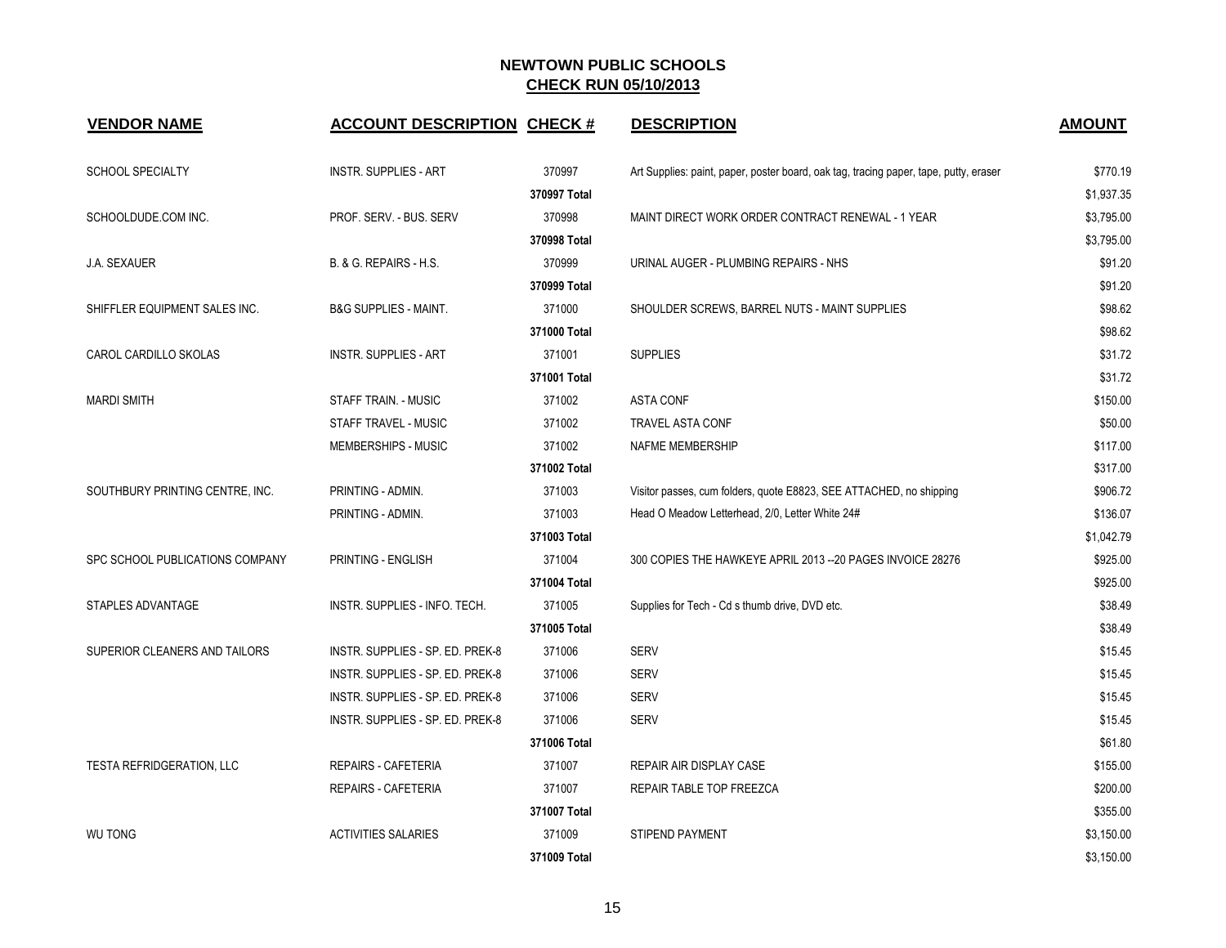| <b>VENDOR NAME</b>               | <b>ACCOUNT DESCRIPTION CHECK #</b> |              | <b>DESCRIPTION</b>                                                                    | <b>AMOUNT</b> |
|----------------------------------|------------------------------------|--------------|---------------------------------------------------------------------------------------|---------------|
| <b>SCHOOL SPECIALTY</b>          | <b>INSTR. SUPPLIES - ART</b>       | 370997       | Art Supplies: paint, paper, poster board, oak tag, tracing paper, tape, putty, eraser | \$770.19      |
|                                  |                                    | 370997 Total |                                                                                       | \$1,937.35    |
| SCHOOLDUDE.COM INC.              | PROF. SERV. - BUS. SERV            | 370998       | MAINT DIRECT WORK ORDER CONTRACT RENEWAL - 1 YEAR                                     | \$3,795.00    |
|                                  |                                    | 370998 Total |                                                                                       | \$3,795.00    |
| J.A. SEXAUER                     | B. & G. REPAIRS - H.S.             | 370999       | URINAL AUGER - PLUMBING REPAIRS - NHS                                                 | \$91.20       |
|                                  |                                    | 370999 Total |                                                                                       | \$91.20       |
| SHIFFLER EQUIPMENT SALES INC.    | <b>B&amp;G SUPPLIES - MAINT.</b>   | 371000       | SHOULDER SCREWS, BARREL NUTS - MAINT SUPPLIES                                         | \$98.62       |
|                                  |                                    | 371000 Total |                                                                                       | \$98.62       |
| CAROL CARDILLO SKOLAS            | <b>INSTR. SUPPLIES - ART</b>       | 371001       | <b>SUPPLIES</b>                                                                       | \$31.72       |
|                                  |                                    | 371001 Total |                                                                                       | \$31.72       |
| <b>MARDI SMITH</b>               | <b>STAFF TRAIN. - MUSIC</b>        | 371002       | <b>ASTA CONF</b>                                                                      | \$150.00      |
|                                  | STAFF TRAVEL - MUSIC               | 371002       | <b>TRAVEL ASTA CONF</b>                                                               | \$50.00       |
|                                  | MEMBERSHIPS - MUSIC                | 371002       | NAFME MEMBERSHIP                                                                      | \$117.00      |
|                                  |                                    | 371002 Total |                                                                                       | \$317.00      |
| SOUTHBURY PRINTING CENTRE, INC.  | PRINTING - ADMIN.                  | 371003       | Visitor passes, cum folders, quote E8823, SEE ATTACHED, no shipping                   | \$906.72      |
|                                  | PRINTING - ADMIN.                  | 371003       | Head O Meadow Letterhead, 2/0, Letter White 24#                                       | \$136.07      |
|                                  |                                    | 371003 Total |                                                                                       | \$1,042.79    |
| SPC SCHOOL PUBLICATIONS COMPANY  | PRINTING - ENGLISH                 | 371004       | 300 COPIES THE HAWKEYE APRIL 2013 -- 20 PAGES INVOICE 28276                           | \$925.00      |
|                                  |                                    | 371004 Total |                                                                                       | \$925.00      |
| STAPLES ADVANTAGE                | INSTR. SUPPLIES - INFO. TECH.      | 371005       | Supplies for Tech - Cd s thumb drive, DVD etc.                                        | \$38.49       |
|                                  |                                    | 371005 Total |                                                                                       | \$38.49       |
| SUPERIOR CLEANERS AND TAILORS    | INSTR. SUPPLIES - SP. ED. PREK-8   | 371006       | <b>SERV</b>                                                                           | \$15.45       |
|                                  | INSTR. SUPPLIES - SP. ED. PREK-8   | 371006       | <b>SERV</b>                                                                           | \$15.45       |
|                                  | INSTR. SUPPLIES - SP. ED. PREK-8   | 371006       | <b>SERV</b>                                                                           | \$15.45       |
|                                  | INSTR. SUPPLIES - SP. ED. PREK-8   | 371006       | <b>SERV</b>                                                                           | \$15.45       |
|                                  |                                    | 371006 Total |                                                                                       | \$61.80       |
| <b>TESTA REFRIDGERATION, LLC</b> | <b>REPAIRS - CAFETERIA</b>         | 371007       | REPAIR AIR DISPLAY CASE                                                               | \$155.00      |
|                                  | <b>REPAIRS - CAFETERIA</b>         | 371007       | REPAIR TABLE TOP FREEZCA                                                              | \$200.00      |
|                                  |                                    | 371007 Total |                                                                                       | \$355.00      |
| <b>WU TONG</b>                   | <b>ACTIVITIES SALARIES</b>         | 371009       | <b>STIPEND PAYMENT</b>                                                                | \$3,150.00    |
|                                  |                                    | 371009 Total |                                                                                       | \$3,150.00    |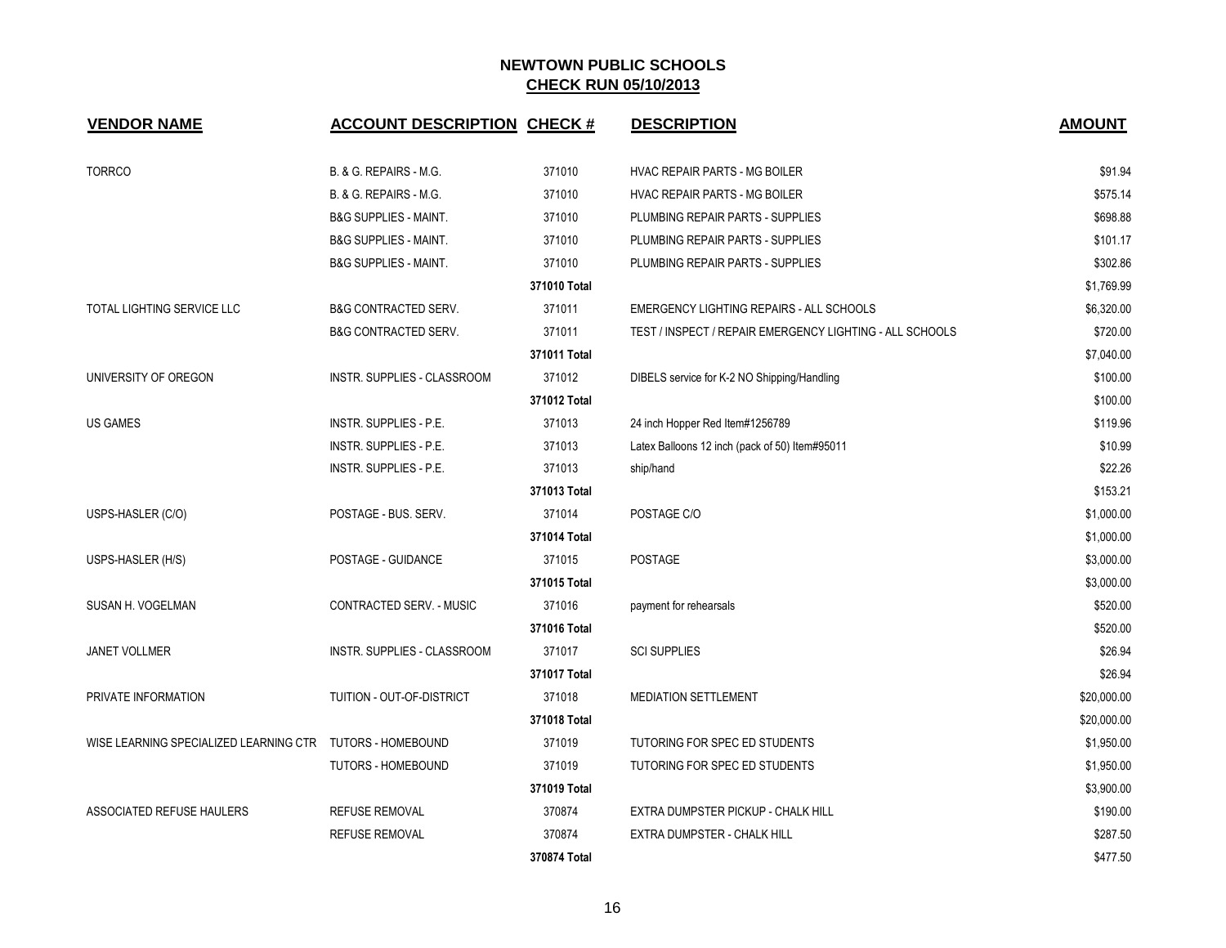| <b>VENDOR NAME</b>                                        | <b>ACCOUNT DESCRIPTION CHECK #</b> |              | <b>DESCRIPTION</b>                                       | <b>AMOUNT</b> |
|-----------------------------------------------------------|------------------------------------|--------------|----------------------------------------------------------|---------------|
| <b>TORRCO</b>                                             | B. & G. REPAIRS - M.G.             | 371010       | HVAC REPAIR PARTS - MG BOILER                            | \$91.94       |
|                                                           | B. & G. REPAIRS - M.G.             | 371010       | HVAC REPAIR PARTS - MG BOILER                            | \$575.14      |
|                                                           | <b>B&amp;G SUPPLIES - MAINT.</b>   | 371010       | PLUMBING REPAIR PARTS - SUPPLIES                         | \$698.88      |
|                                                           | <b>B&amp;G SUPPLIES - MAINT.</b>   | 371010       | PLUMBING REPAIR PARTS - SUPPLIES                         | \$101.17      |
|                                                           | <b>B&amp;G SUPPLIES - MAINT.</b>   | 371010       | PLUMBING REPAIR PARTS - SUPPLIES                         | \$302.86      |
|                                                           |                                    | 371010 Total |                                                          | \$1,769.99    |
| TOTAL LIGHTING SERVICE LLC                                | <b>B&amp;G CONTRACTED SERV.</b>    | 371011       | EMERGENCY LIGHTING REPAIRS - ALL SCHOOLS                 | \$6,320.00    |
|                                                           | <b>B&amp;G CONTRACTED SERV.</b>    | 371011       | TEST / INSPECT / REPAIR EMERGENCY LIGHTING - ALL SCHOOLS | \$720.00      |
|                                                           |                                    | 371011 Total |                                                          | \$7,040.00    |
| UNIVERSITY OF OREGON                                      | INSTR. SUPPLIES - CLASSROOM        | 371012       | DIBELS service for K-2 NO Shipping/Handling              | \$100.00      |
|                                                           |                                    | 371012 Total |                                                          | \$100.00      |
| <b>US GAMES</b>                                           | INSTR. SUPPLIES - P.E.             | 371013       | 24 inch Hopper Red Item#1256789                          | \$119.96      |
|                                                           | INSTR. SUPPLIES - P.E.             | 371013       | Latex Balloons 12 inch (pack of 50) Item#95011           | \$10.99       |
|                                                           | INSTR. SUPPLIES - P.E.             | 371013       | ship/hand                                                | \$22.26       |
|                                                           |                                    | 371013 Total |                                                          | \$153.21      |
| USPS-HASLER (C/O)                                         | POSTAGE - BUS. SERV.               | 371014       | POSTAGE C/O                                              | \$1,000.00    |
|                                                           |                                    | 371014 Total |                                                          | \$1,000.00    |
| USPS-HASLER (H/S)                                         | POSTAGE - GUIDANCE                 | 371015       | POSTAGE                                                  | \$3,000.00    |
|                                                           |                                    | 371015 Total |                                                          | \$3,000.00    |
| SUSAN H. VOGELMAN                                         | CONTRACTED SERV. - MUSIC           | 371016       | payment for rehearsals                                   | \$520.00      |
|                                                           |                                    | 371016 Total |                                                          | \$520.00      |
| <b>JANET VOLLMER</b>                                      | INSTR. SUPPLIES - CLASSROOM        | 371017       | <b>SCI SUPPLIES</b>                                      | \$26.94       |
|                                                           |                                    | 371017 Total |                                                          | \$26.94       |
| PRIVATE INFORMATION                                       | TUITION - OUT-OF-DISTRICT          | 371018       | <b>MEDIATION SETTLEMENT</b>                              | \$20,000.00   |
|                                                           |                                    | 371018 Total |                                                          | \$20,000.00   |
| WISE LEARNING SPECIALIZED LEARNING CTR TUTORS - HOMEBOUND |                                    | 371019       | TUTORING FOR SPEC ED STUDENTS                            | \$1,950.00    |
|                                                           | <b>TUTORS - HOMEBOUND</b>          | 371019       | TUTORING FOR SPEC ED STUDENTS                            | \$1,950.00    |
|                                                           |                                    | 371019 Total |                                                          | \$3,900.00    |
| ASSOCIATED REFUSE HAULERS                                 | <b>REFUSE REMOVAL</b>              | 370874       | EXTRA DUMPSTER PICKUP - CHALK HILL                       | \$190.00      |
|                                                           | <b>REFUSE REMOVAL</b>              | 370874       | EXTRA DUMPSTER - CHALK HILL                              | \$287.50      |
|                                                           |                                    | 370874 Total |                                                          | \$477.50      |